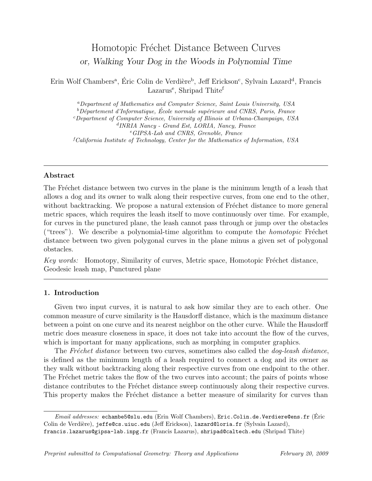# Homotopic Fréchet Distance Between Curves or, Walking Your Dog in the Woods in Polynomial Time

Erin Wolf Chambers<sup>a</sup>, Éric Colin de Verdière<sup>b</sup>, Jeff Erickson<sup>c</sup>, Sylvain Lazard<sup>d</sup>, Francis Lazarus<sup>e</sup>, Shripad Thite<sup>f</sup>

<sup>a</sup>Department of Mathematics and Computer Science, Saint Louis University, USA  $b$ Département d'Informatique, École normale supérieure and CNRS, Paris, France <sup>c</sup>Department of Computer Science, University of Illinois at Urbana-Champaign, USA d INRIA Nancy - Grand Est, LORIA, Nancy, France <sup>e</sup>GIPSA-Lab and CNRS, Grenoble, France  ${}^f\mathcal{C}alifornia$  Institute of Technology, Center for the Mathematics of Information, USA

# Abstract

The Fréchet distance between two curves in the plane is the minimum length of a leash that allows a dog and its owner to walk along their respective curves, from one end to the other, without backtracking. We propose a natural extension of Fréchet distance to more general metric spaces, which requires the leash itself to move continuously over time. For example, for curves in the punctured plane, the leash cannot pass through or jump over the obstacles ("trees"). We describe a polynomial-time algorithm to compute the *homotopic* Fréchet distance between two given polygonal curves in the plane minus a given set of polygonal obstacles.

Key words: Homotopy, Similarity of curves, Metric space, Homotopic Fréchet distance, Geodesic leash map, Punctured plane

# 1. Introduction

Given two input curves, it is natural to ask how similar they are to each other. One common measure of curve similarity is the Hausdorff distance, which is the maximum distance between a point on one curve and its nearest neighbor on the other curve. While the Hausdorff metric does measure closeness in space, it does not take into account the flow of the curves, which is important for many applications, such as morphing in computer graphics.

The Fréchet distance between two curves, sometimes also called the  $\log$ -leash distance, is defined as the minimum length of a leash required to connect a dog and its owner as they walk without backtracking along their respective curves from one endpoint to the other. The Fréchet metric takes the flow of the two curves into account; the pairs of points whose distance contributes to the Fréchet distance sweep continuously along their respective curves. This property makes the Fréchet distance a better measure of similarity for curves than

 $Email \; addresses: \; \text{echambe5@slu.edu}$  (Erin Wolf Chambers), Eric.Colin.de.Verdiere@ens.fr (Éric Colin de Verdière), jeffe@cs.uiuc.edu (Jeff Erickson), lazard@loria.fr (Sylvain Lazard), francis.lazarus@gipsa-lab.inpg.fr (Francis Lazarus), shripad@caltech.edu (Shripad Thite)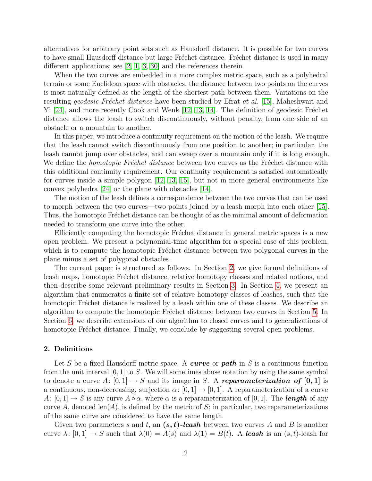alternatives for arbitrary point sets such as Hausdorff distance. It is possible for two curves to have small Hausdorff distance but large Fréchet distance. Fréchet distance is used in many different applications; see [\[2,](#page-24-0) [1,](#page-24-1) [3,](#page-24-2) [30\]](#page-26-0) and the references therein.

When the two curves are embedded in a more complex metric space, such as a polyhedral terrain or some Euclidean space with obstacles, the distance between two points on the curves is most naturally defined as the length of the shortest path between them. Variations on the resulting *geodesic Fréchet distance* have been studied by Efrat *et al.* [[15](#page-25-0)], Maheshwari and  $Yi$  [[24](#page-26-1)], and more recently Cook and Wenk [[12](#page-25-1), [13](#page-25-2), [14](#page-25-3)]. The definition of geodesic Fréchet distance allows the leash to switch discontinuously, without penalty, from one side of an obstacle or a mountain to another.

In this paper, we introduce a continuity requirement on the motion of the leash. We require that the leash cannot switch discontinuously from one position to another; in particular, the leash cannot jump over obstacles, and can sweep over a mountain only if it is long enough. We define the *homotopic Fréchet distance* between two curves as the Fréchet distance with this additional continuity requirement. Our continuity requirement is satisfied automatically for curves inside a simple polygon [[12](#page-25-1), [13](#page-25-2), [15](#page-25-0)], but not in more general environments like convex polyhedra [\[24\]](#page-26-1) or the plane with obstacles [\[14\]](#page-25-3).

The motion of the leash defines a correspondence between the two curves that can be used to morph between the two curves—two points joined by a leash morph into each other [[15](#page-25-0)]. Thus, the homotopic Fréchet distance can be thought of as the minimal amount of deformation needed to transform one curve into the other.

Efficiently computing the homotopic Fréchet distance in general metric spaces is a new open problem. We present a polynomial-time algorithm for a special case of this problem, which is to compute the homotopic Fréchet distance between two polygonal curves in the plane minus a set of polygonal obstacles.

The current paper is structured as follows. In Section [2,](#page-1-0) we give formal definitions of leash maps, homotopic Fréchet distance, relative homotopy classes and related notions, and then describe some relevant preliminary results in Section [3.](#page-2-0) In Section [4,](#page-6-0) we present an algorithm that enumerates a finite set of relative homotopy classes of leashes, such that the homotopic Fréchet distance is realized by a leash within one of these classes. We describe an algorithm to compute the homotopic Fréchet distance between two curves in Section [5.](#page-13-0) In Section [6,](#page-20-0) we describe extensions of our algorithm to closed curves and to generalizations of homotopic Fréchet distance. Finally, we conclude by suggesting several open problems.

## <span id="page-1-0"></span>2. Definitions

Let S be a fixed Hausdorff metric space. A curve or path in S is a continuous function from the unit interval  $[0, 1]$  to S. We will sometimes abuse notation by using the same symbol to denote a curve A:  $[0, 1] \rightarrow S$  and its image in S. A **reparameterization of [0, 1]** is a continuous, non-decreasing, surjection  $\alpha: [0, 1] \to [0, 1]$ . A reparameterization of a curve  $A: [0,1] \to S$  is any curve  $A \circ \alpha$ , where  $\alpha$  is a reparameterization of [0, 1]. The **length** of any curve A, denoted  $len(A)$ , is defined by the metric of S; in particular, two reparameterizations of the same curve are considered to have the same length.

Given two parameters s and t, an  $(s, t)$ -leash between two curves A and B is another curve  $\lambda: [0,1] \to S$  such that  $\lambda(0) = A(s)$  and  $\lambda(1) = B(t)$ . A leash is an  $(s,t)$ -leash for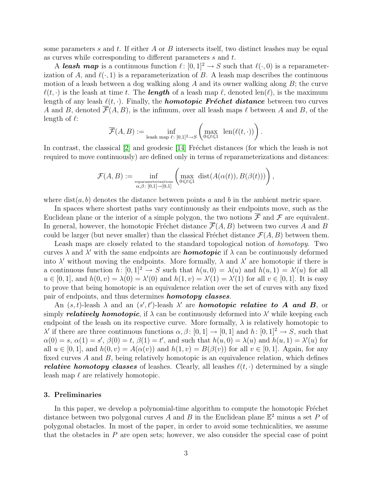some parameters s and t. If either A or B intersects itself, two distinct leashes may be equal as curves while corresponding to different parameters s and t.

A leash map is a continuous function  $\ell : [0, 1]^2 \to S$  such that  $\ell(\cdot, 0)$  is a reparameterization of A, and  $\ell(\cdot, 1)$  is a reparameterization of B. A leash map describes the continuous motion of a leash between a dog walking along  $A$  and its owner walking along  $B$ ; the curve  $\ell(t, \cdot)$  is the leash at time t. The **length** of a leash map  $\ell$ , denoted len( $\ell$ ), is the maximum length of any leash  $\ell(t, \cdot)$ . Finally, the **homotopic Fréchet distance** between two curves A and B, denoted  $\overline{\mathcal{F}}(A, B)$ , is the infimum, over all leash maps  $\ell$  between A and B, of the length of  $\ell$ :

$$
\overline{\mathcal{F}}(A,B) := \inf_{\text{leash map } \ell : [0,1]^2 \to S} \left( \max_{0 \leq t \leq 1} \text{ len}(\ell(t,\cdot)) \right).
$$

In contrast, the classical  $[2]$  $[2]$  $[2]$  and geodesic  $[14]$  $[14]$  $[14]$  Fréchet distances (for which the leash is not required to move continuously) are defined only in terms of reparameterizations and distances:

$$
\mathcal{F}(A,B) := \inf_{\substack{\text{reparameters:} \ \alpha,\beta \colon [0,1] \to [0,1]}} \left( \max_{0 \leq t \leq 1} \text{dist}(A(\alpha(t)),B(\beta(t))) \right),
$$

where  $dist(a, b)$  denotes the distance between points a and b in the ambient metric space.

In spaces where shortest paths vary continuously as their endpoints move, such as the Euclidean plane or the interior of a simple polygon, the two notions  $\overline{\mathcal{F}}$  and  $\mathcal{F}$  are equivalent. In general, however, the homotopic Fréchet distance  $\overline{\mathcal{F}}(A, B)$  between two curves A and B could be larger (but never smaller) than the classical Fréchet distance  $\mathcal{F}(A, B)$  between them.

Leash maps are closely related to the standard topological notion of homotopy. Two curves  $\lambda$  and  $\lambda'$  with the same endpoints are **homotopic** if  $\lambda$  can be continuously deformed into  $\lambda'$  without moving the endpoints. More formally,  $\lambda$  and  $\lambda'$  are homotopic if there is a continuous function  $h: [0,1]^2 \to S$  such that  $h(u, 0) = \lambda(u)$  and  $h(u, 1) = \lambda'(u)$  for all  $u \in [0,1]$ , and  $h(0, v) = \lambda(0) = \lambda'(0)$  and  $h(1, v) = \lambda'(1) = \lambda'(1)$  for all  $v \in [0,1]$ . It is easy to prove that being homotopic is an equivalence relation over the set of curves with any fixed pair of endpoints, and thus determines **homotopy classes**.

An  $(s, t)$ -leash  $\lambda$  and an  $(s', t')$ -leash  $\lambda'$  are **homotopic relative to A and B**, or simply **relatively homotopic**, if  $\lambda$  can be continuously deformed into  $\lambda'$  while keeping each endpoint of the leash on its respective curve. More formally,  $\lambda$  is relatively homotopic to  $\lambda'$  if there are three continuous functions  $\alpha, \beta \colon [0,1] \to [0,1]$  and  $h \colon [0,1]^2 \to S$ , such that  $\alpha(0) = s, \alpha(1) = s', \beta(0) = t, \beta(1) = t'$ , and such that  $h(u, 0) = \lambda(u)$  and  $h(u, 1) = \lambda'(u)$  for all  $u \in [0,1]$ , and  $h(0, v) = A(\alpha(v))$  and  $h(1, v) = B(\beta(v))$  for all  $v \in [0,1]$ . Again, for any fixed curves  $A$  and  $B$ , being relatively homotopic is an equivalence relation, which defines relative homotopy classes of leashes. Clearly, all leashes  $\ell(t, \cdot)$  determined by a single leash map  $\ell$  are relatively homotopic.

## <span id="page-2-0"></span>3. Preliminaries

In this paper, we develop a polynomial-time algorithm to compute the homotopic Fréchet distance between two polygonal curves A and B in the Euclidean plane  $\mathbb{E}^2$  minus a set P of polygonal obstacles. In most of the paper, in order to avoid some technicalities, we assume that the obstacles in  $P$  are open sets; however, we also consider the special case of point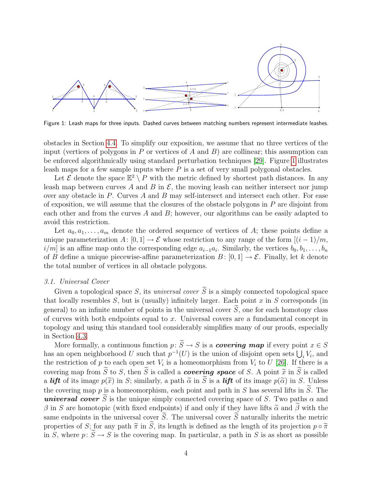

<span id="page-3-0"></span>Figure 1: Leash maps for three inputs. Dashed curves between matching numbers represent intermediate leashes.

obstacles in Section [4.4.](#page-10-0) To simplify our exposition, we assume that no three vertices of the input (vertices of polygons in P or vertices of A and B) are collinear; this assumption can be enforced algorithmically using standard perturbation techniques [[29](#page-26-2)]. Figure [1](#page-3-0) illustrates leash maps for a few sample inputs where  $P$  is a set of very small polygonal obstacles.

Let  $\mathcal E$  denote the space  $\mathbb E^2 \setminus P$  with the metric defined by shortest path distances. In any leash map between curves A and B in  $\mathcal{E}$ , the moving leash can neither intersect nor jump over any obstacle in  $P$ . Curves  $A$  and  $B$  may self-intersect and intersect each other. For ease of exposition, we will assume that the closures of the obstacle polygons in  $P$  are disjoint from each other and from the curves A and  $B$ ; however, our algorithms can be easily adapted to avoid this restriction.

Let  $a_0, a_1, \ldots, a_m$  denote the ordered sequence of vertices of A; these points define a unique parameterization A: [0, 1]  $\rightarrow \mathcal{E}$  whose restriction to any range of the form  $[(i-1)/m,$  $i/m$  is an affine map onto the corresponding edge  $a_{i-1}a_i$ . Similarly, the vertices  $b_0, b_1, \ldots, b_n$ of B define a unique piecewise-affine parameterization  $B: [0, 1] \to \mathcal{E}$ . Finally, let k denote the total number of vertices in all obstacle polygons.

#### 3.1. Universal Cover

Given a topological space S, its universal cover  $\widetilde{S}$  is a simply connected topological space that locally resembles  $S$ , but is (usually) infinitely larger. Each point  $x$  in  $S$  corresponds (in general) to an infinite number of points in the universal cover  $\widetilde{S}$ , one for each homotopy class of curves with both endpoints equal to  $x$ . Universal covers are a fundamental concept in topology and using this standard tool considerably simplifies many of our proofs, especially in Section [4.3.](#page-7-0)

More formally, a continuous function  $p: \widetilde{S} \to S$  is a *covering map* if every point  $x \in S$ has an open neighborhood U such that  $p^{-1}(U)$  is the union of disjoint open sets  $\bigcup_i V_i$ , and the restriction of p to each open set  $V_i$  is a homeomorphism from  $V_i$  to U [[26](#page-26-3)]. If there is a covering map from  $\widetilde{S}$  to S, then  $\widetilde{S}$  is called a *covering space* of S. A point  $\widetilde{x}$  in  $\widetilde{S}$  is called a lift of its image  $p(\tilde{x})$  in S; similarly, a path  $\tilde{\alpha}$  in S is a lift of its image  $p(\tilde{\alpha})$  in S. Unless the covering map p is a homeomorphism, each point and path in S has several lifts in  $\widetilde{S}$ . The universal cover S is the unique simply connected covering space of S. Two paths  $\alpha$  and β in S are homotopic (with fixed endpoints) if and only if they have lifts  $\tilde{\alpha}$  and β with the same endpoints in the universal cover  $\widetilde{S}$ . The universal cover  $\widetilde{S}$  naturally inherits the metric properties of  $S$ ; for any path  $\widetilde{\pi}$  in  $\widetilde{S}$ , its length is defined as the length of its projection  $p$ properties of S; for any path  $\tilde{\pi}$  in S, its length is defined as the length of its projection  $p \circ \tilde{\pi}$ <br>in S, where  $p : \tilde{S} \to S$  is the covering map. In particular, a path in S is as short as possible in S, where  $p: S \to S$  is the covering map. In particular, a path in S is as short as possible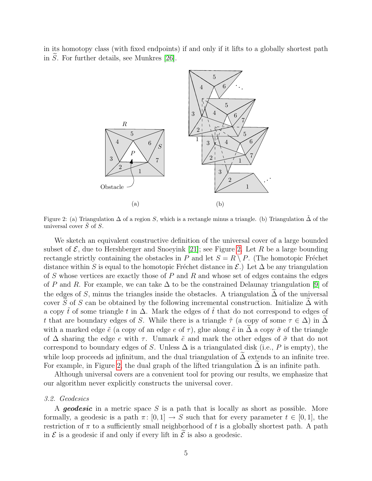in its homotopy class (with fixed endpoints) if and only if it lifts to a globally shortest path in  $\tilde{S}$ . For further details, see Munkres [\[26\]](#page-26-3).



<span id="page-4-0"></span>Figure 2: (a) Triangulation  $\Delta$  of a region S, which is a rectangle minus a triangle. (b) Triangulation  $\Delta$  of the universal cover  $\tilde{S}$  of  $S$ .

We sketch an equivalent constructive definition of the universal cover of a large bounded subset of  $\mathcal{E}$ , due to Hershberger and Snoeyink [[21](#page-26-4)]; see Figure [2.](#page-4-0) Let R be a large bounding rectangle strictly containing the obstacles in P and let  $S = R \setminus P$ . (The homotopic Fréchet distance within S is equal to the homotopic Fréchet distance in  $\mathcal{E}$ .) Let  $\Delta$  be any triangulation of S whose vertices are exactly those of P and R and whose set of edges contains the edges of P and R. For example, we can take  $\Delta$  to be the constrained Delaunay triangulation [[9](#page-25-4)] of the edges of S, minus the triangles inside the obstacles. A triangulation  $\Delta$  of the universal cover S of S can be obtained by the following incremental construction. Initialize  $\Delta$  with a copy  $\tilde{t}$  of some triangle t in  $\Delta$ . Mark the edges of  $\tilde{t}$  that do not correspond to edges of t that are boundary edges of S. While there is a triangle  $\tilde{\tau}$  (a copy of some  $\tau \in \Delta$ ) in  $\Delta$ with a marked edge  $\tilde{e}$  (a copy of an edge e of  $\tau$ ), glue along  $\tilde{e}$  in  $\Delta$  a copy  $\tilde{\sigma}$  of the triangle of  $\Delta$  sharing the edge e with  $\tau$ . Unmark  $\tilde{e}$  and mark the other edges of  $\tilde{\sigma}$  that do not correspond to boundary edges of S. Unless  $\Delta$  is a triangulated disk (i.e., P is empty), the while loop proceeds ad infinitum, and the dual triangulation of  $\Delta$  extends to an infinite tree. For example, in Figure [2,](#page-4-0) the dual graph of the lifted triangulation  $\Delta$  is an infinite path.

Although universal covers are a convenient tool for proving our results, we emphasize that our algorithm never explicitly constructs the universal cover.

#### 3.2. Geodesics

A **geodesic** in a metric space S is a path that is locally as short as possible. More formally, a geodesic is a path  $\pi: [0, 1] \to S$  such that for every parameter  $t \in [0, 1]$ , the restriction of  $\pi$  to a sufficiently small neighborhood of t is a globally shortest path. A path in  $\mathcal E$  is a geodesic if and only if every lift in  $\mathcal E$  is also a geodesic.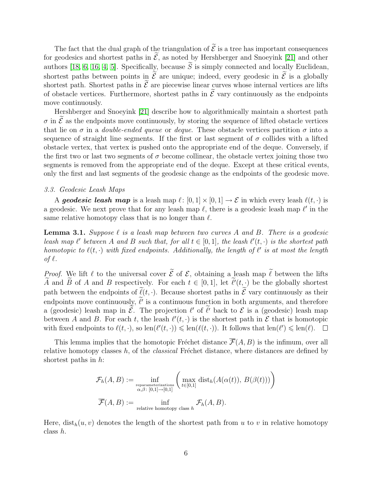The fact that the dual graph of the triangulation of  $\tilde{\mathcal{E}}$  is a tree has important consequences for geodesics and shortest paths in  $\mathcal{E}$ , as noted by Hershberger and Snoeyink [[21](#page-26-4)] and other authors [[18](#page-25-5), [6](#page-25-6), [16](#page-25-7), [4](#page-24-3), [5](#page-25-8)]. Specifically, because  $\widetilde{S}$  is simply connected and locally Euclidean, shortest paths between points in  $\tilde{\mathcal{E}}$  are unique; indeed, every geodesic in  $\tilde{\mathcal{E}}$  is a globally shortest path. Shortest paths in  $\tilde{\mathcal{E}}$  are piecewise linear curves whose internal vertices are lifts of obstacle vertices. Furthermore, shortest paths in  $\tilde{\mathcal{E}}$  vary continuously as the endpoints move continuously.

Hershberger and Snoeyink [[21](#page-26-4)] describe how to algorithmically maintain a shortest path  $\sigma$  in  $\tilde{\mathcal{E}}$  as the endpoints move continuously, by storing the sequence of lifted obstacle vertices that lie on  $\sigma$  in a *double-ended queue* or *deque*. These obstacle vertices partition  $\sigma$  into a sequence of straight line segments. If the first or last segment of  $\sigma$  collides with a lifted obstacle vertex, that vertex is pushed onto the appropriate end of the deque. Conversely, if the first two or last two segments of  $\sigma$  become collinear, the obstacle vertex joining those two segments is removed from the appropriate end of the deque. Except at these critical events, only the first and last segments of the geodesic change as the endpoints of the geodesic move.

### 3.3. Geodesic Leash Maps

A geodesic leash map is a leash map  $\ell : [0, 1] \times [0, 1] \to \mathcal{E}$  in which every leash  $\ell(t, \cdot)$  is a geodesic. We next prove that for any leash map  $\ell$ , there is a geodesic leash map  $\ell'$  in the same relative homotopy class that is no longer than  $\ell$ .

<span id="page-5-0"></span>**Lemma 3.1.** Suppose  $\ell$  is a leash map between two curves A and B. There is a geodesic leash map  $\ell'$  between A and B such that, for all  $t \in [0,1]$ , the leash  $\ell'(t, \cdot)$  is the shortest path homotopic to  $\ell(t, \cdot)$  with fixed endpoints. Additionally, the length of  $\ell'$  is at most the length of  $\ell$ .

*Proof.* We lift  $\ell$  to the universal cover  $\widetilde{\mathcal{E}}$  of  $\mathcal{E}$ , obtaining a leash map  $\widetilde{\ell}$  between the lifts  $\widetilde{A}$  and  $\widetilde{B}$  of A and B respectively. For each  $t \in [0,1]$ , let  $\widetilde{\ell}'(t, \cdot)$  be the globally shortest path between the endpoints of  $\tilde{\ell}(t, \cdot)$ . Because shortest paths in  $\tilde{\mathcal{E}}$  vary continuously as their endpoints move continuously,  $\ell'$  is a continuous function in both arguments, and therefore a (geodesic) leash map in  $\tilde{\mathcal{E}}$ . The projection  $\ell'$  of  $\ell'$  back to  $\mathcal{E}$  is a (geodesic) leash map between A and B. For each t, the leash  $\ell'(t, \cdot)$  is the shortest path in E that is homotopic with fixed endpoints to  $\ell(t, \cdot)$ , so  $\text{len}(\ell'(t, \cdot)) \leq \text{len}(\ell(t, \cdot))$ . It follows that  $\text{len}(\ell') \leq \text{len}(\ell)$ .

This lemma implies that the homotopic Fréchet distance  $\overline{\mathcal{F}}(A, B)$  is the infimum, over all relative homotopy classes  $h$ , of the *classical* Fréchet distance, where distances are defined by shortest paths in h:

$$
\mathcal{F}_h(A, B) := \inf_{\substack{\text{reparametriciations} \\ \alpha, \beta \colon [0,1] \to [0,1]}} \left( \max_{t \in [0,1]} \text{dist}_h(A(\alpha(t)), B(\beta(t))) \right)
$$

$$
\overline{\mathcal{F}}(A, B) := \inf_{\text{relative homotopy class } h} \mathcal{F}_h(A, B).
$$

Here,  $dist_h(u, v)$  denotes the length of the shortest path from u to v in relative homotopy class h.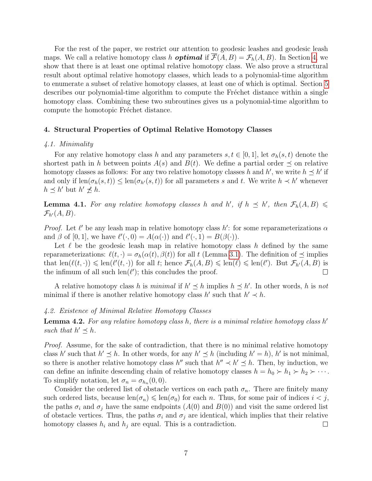For the rest of the paper, we restrict our attention to geodesic leashes and geodesic leash maps. We call a relative homotopy class h **optimal** if  $\overline{\mathcal{F}}(A, B) = \mathcal{F}_h(A, B)$ . In Section [4,](#page-6-0) we show that there is at least one optimal relative homotopy class. We also prove a structural result about optimal relative homotopy classes, which leads to a polynomial-time algorithm to enumerate a subset of relative homotopy classes, at least one of which is optimal. Section [5](#page-13-0) describes our polynomial-time algorithm to compute the Fréchet distance within a single homotopy class. Combining these two subroutines gives us a polynomial-time algorithm to compute the homotopic Fréchet distance.

## <span id="page-6-0"></span>4. Structural Properties of Optimal Relative Homotopy Classes

#### 4.1. Minimality

For any relative homotopy class h and any parameters  $s, t \in [0, 1]$ , let  $\sigma_h(s, t)$  denote the shortest path in h between points  $A(s)$  and  $B(t)$ . We define a partial order  $\preceq$  on relative homotopy classes as follows: For any two relative homotopy classes h and h', we write  $h \leq h'$  if and only if  $len(\sigma_h(s, t)) \leq len(\sigma_{h'}(s, t))$  for all parameters s and t. We write  $h \prec h'$  whenever  $h \preceq h'$  but  $h' \npreceq h$ .

<span id="page-6-1"></span>**Lemma 4.1.** For any relative homotopy classes h and h', if  $h \preceq h'$ , then  $\mathcal{F}_h(A, B)$   $\leq$  $\mathcal{F}_{h'}(A, B)$ .

*Proof.* Let  $\ell'$  be any leash map in relative homotopy class h': for some reparameterizations  $\alpha$ and  $\beta$  of [0, 1], we have  $\ell'(\cdot, 0) = A(\alpha(\cdot))$  and  $\ell'(\cdot, 1) = B(\beta(\cdot)).$ 

Let  $\ell$  be the geodesic leash map in relative homotopy class h defined by the same reparameterizations:  $\ell(t, \cdot) = \sigma_h(\alpha(t), \beta(t))$  for all t (Lemma [3.1\)](#page-5-0). The definition of  $\preceq$  implies that  $\text{len}(\ell(t, \cdot)) \leq \text{len}(\ell'(t, \cdot))$  for all t; hence  $\mathcal{F}_h(A, B) \leq \text{len}(\ell) \leq \text{len}(\ell')$ . But  $\mathcal{F}_{h'}(A, B)$  is the infimum of all such  $len(\ell')$ ; this concludes the proof.  $\Box$ 

A relative homotopy class h is minimal if  $h' \leq h$  implies  $h \leq h'$ . In other words, h is not minimal if there is another relative homotopy class  $h'$  such that  $h' \prec h$ .

## 4.2. Existence of Minimal Relative Homotopy Classes

<span id="page-6-2"></span>**Lemma 4.2.** For any relative homotopy class h, there is a minimal relative homotopy class h' such that  $h' \preceq h$ .

Proof. Assume, for the sake of contradiction, that there is no minimal relative homotopy class h' such that  $h' \leq h$ . In other words, for any  $h' \leq h$  (including  $h' = h$ ), h' is not minimal, so there is another relative homotopy class  $h''$  such that  $h'' \prec h' \preceq h$ . Then, by induction, we can define an infinite descending chain of relative homotopy classes  $h = h_0 \succ h_1 \succ h_2 \succ \cdots$ . To simplify notation, let  $\sigma_n = \sigma_{h_n}(0,0)$ .

Consider the ordered list of obstacle vertices on each path  $\sigma_n$ . There are finitely many such ordered lists, because  $\text{len}(\sigma_n) \leq \text{len}(\sigma_0)$  for each n. Thus, for some pair of indices  $i < j$ , the paths  $\sigma_i$  and  $\sigma_j$  have the same endpoints  $(A(0)$  and  $B(0))$  and visit the same ordered list of obstacle vertices. Thus, the paths  $\sigma_i$  and  $\sigma_j$  are identical, which implies that their relative homotopy classes  $h_i$  and  $h_j$  are equal. This is a contradiction.  $\Box$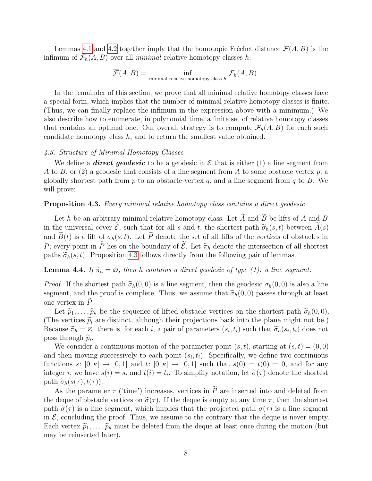Lemmas [4.1](#page-6-1) and [4.2](#page-6-2) together imply that the homotopic Fréchet distance  $\overline{\mathcal{F}}(A, B)$  is the infimum of  $\mathcal{F}_h(A, B)$  over all *minimal* relative homotopy classes h:

$$
\overline{\mathcal{F}}(A, B) = \inf_{\text{minimal relative homotopy class } h} \mathcal{F}_h(A, B).
$$

In the remainder of this section, we prove that all minimal relative homotopy classes have a special form, which implies that the number of minimal relative homotopy classes is finite. (Thus, we can finally replace the infimum in the expression above with a minimum.) We also describe how to enumerate, in polynomial time, a finite set of relative homotopy classes that contains an optimal one. Our overall strategy is to compute  $\mathcal{F}_h(A, B)$  for each such candidate homotopy class  $h$ , and to return the smallest value obtained.

#### <span id="page-7-0"></span>4.3. Structure of Minimal Homotopy Classes

We define a **direct geodesic** to be a geodesic in  $\mathcal E$  that is either (1) a line segment from A to B, or (2) a geodesic that consists of a line segment from A to some obstacle vertex  $p$ , a globally shortest path from p to an obstacle vertex q, and a line segment from q to B. We will prove:

# <span id="page-7-1"></span>Proposition 4.3. Every minimal relative homotopy class contains a direct geodesic.

Let h be an arbitrary minimal relative homotopy class. Let  $\widetilde{A}$  and  $\widetilde{B}$  be lifts of A and B in the universal cover  $\tilde{\mathcal{E}}$ , such that for all s and t, the shortest path  $\tilde{\sigma}_h(s, t)$  between  $\tilde{A}(s)$ and  $\widetilde{B}(t)$  is a lift of  $\sigma_h(s,t)$ . Let  $\widetilde{P}$  denote the set of all lifts of the vertices of obstacles in P; every point in  $\widetilde{P}$  lies on the boundary of  $\widetilde{\mathcal{E}}$ . Let  $\widetilde{\pi}_h$  denote the intersection of all shortest paths  $\tilde{\sigma}_h(s, t)$ . Proposition [4.3](#page-7-1) follows directly from the following pair of lemmas.

# <span id="page-7-2"></span>**Lemma 4.4.** If  $\tilde{\pi}_h = \emptyset$ , then h contains a direct geodesic of type (1): a line segment.

*Proof.* If the shortest path  $\tilde{\sigma}_h(0, 0)$  is a line segment, then the geodesic  $\sigma_h(0, 0)$  is also a line segment, and the proof is complete. Thus, we assume that  $\tilde{\sigma}_h(0, 0)$  passes through at least one vertex in  $P$ .

Let  $\tilde{p}_1, \ldots, \tilde{p}_\kappa$  be the sequence of lifted obstacle vertices on the shortest path  $\tilde{\sigma}_h(0, 0)$ . (The vertices  $\tilde{p}_i$  are distinct, although their projections back into the plane might not be.) Because  $\widetilde{\pi}_h = \emptyset$ , there is, for each i, a pair of parameters  $(s_i, t_i)$  such that  $\widetilde{\sigma}_h(s_i, t_i)$  does not pass through  $\widetilde{p}_i$ .<br>We consider

We consider a continuous motion of the parameter point  $(s, t)$ , starting at  $(s, t) = (0, 0)$ and then moving successively to each point  $(s_i, t_i)$ . Specifically, we define two continuous functions  $s: [0, \kappa] \to [0, 1]$  and  $t: [0, \kappa] \to [0, 1]$  such that  $s(0) = t(0) = 0$ , and for any integer *i*, we have  $s(i) = s_i$  and  $t(i) = t_i$ . To simplify notation, let  $\tilde{\sigma}(\tau)$  denote the shortest path  $\tilde{\sigma}_i(e(\tau), t(\tau))$ path  $\tilde{\sigma}_h(s(\tau), t(\tau))$ .

As the parameter  $\tau$  ('time') increases, vertices in  $\widetilde{P}$  are inserted into and deleted from the deque of obstacle vertices on  $\tilde{\sigma}(\tau)$ . If the deque is empty at any time  $\tau$ , then the shortest path  $\tilde{\sigma}(\tau)$  is a line segment, which implies that the projected path  $\sigma(\tau)$  is a line segment in  $\mathcal{E}$ , concluding the proof. Thus, we assume to the contrary that the deque is never empty. Each vertex  $\tilde{p}_1, \ldots, \tilde{p}_\kappa$  must be deleted from the deque at least once during the motion (but may be reinserted later).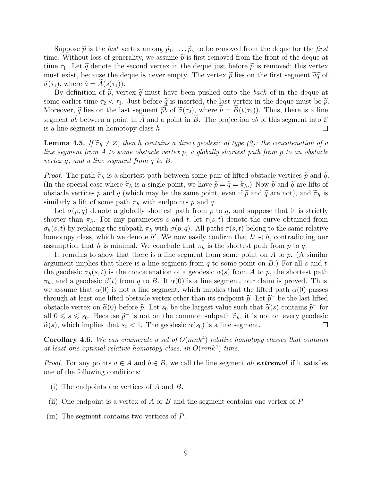Suppose  $\tilde{p}$  is the *last* vertex among  $\tilde{p}_1, \ldots, \tilde{p}_k$  to be removed from the deque for the first time. Without loss of generality, we assume  $\tilde{p}$  is first removed from the front of the deque at time  $\tau_1$ . Let  $\tilde{q}$  denote the second vertex in the deque just before  $\tilde{p}$  is removed; this vertex must exist, because the deque is never empty. The vertex  $\tilde{p}$  lies on the first segment  $\tilde{a}\tilde{q}$  of  $\widetilde{\sigma}(\tau_1)$ , where  $\widetilde{a} = A(s(\tau_1)).$ 

By definition of  $\tilde{p}$ , vertex  $\tilde{q}$  must have been pushed onto the back of in the deque at some earlier time  $\tau_2 < \tau_1$ . Just before  $\tilde{q}$  is inserted, the last vertex in the deque must be  $\tilde{p}$ . Moreover,  $\tilde{q}$  lies on the last segment  $\tilde{p}b$  of  $\tilde{\sigma}(\tau_2)$ , where  $b = B(t(\tau_2))$ . Thus, there is a line segment  $\tilde{a}b$  between a point in A and a point in B. The projection ab of this segment into  $\mathcal E$  is a line segment in homotopy class h. is a line segment in homotopy class h.

**Lemma 4.5.** If  $\widetilde{\pi}_h \neq \emptyset$ , then h contains a direct geodesic of type (2): the concatenation of a line segment from A to some obstacle vertex p, a globally shortest path from p to an obstacle vertex q, and a line segment from q to B.

*Proof.* The path  $\widetilde{\pi}_h$  is a shortest path between some pair of lifted obstacle vertices  $\widetilde{p}$  and  $\widetilde{q}$ . (In the special case where  $\tilde{\pi}_h$  is a single point, we have  $\tilde{p} = \tilde{q} = \tilde{\pi}_h$ .) Now  $\tilde{p}$  and  $\tilde{q}$  are lifts of obstacle vertices p and q (which may be the same point, even if  $\tilde{p}$  and  $\tilde{q}$  are not), and  $\tilde{\pi}_h$  is similarly a lift of some path  $\pi_h$  with endpoints p and q.

Let  $\sigma(p,q)$  denote a globally shortest path from p to q, and suppose that it is strictly shorter than  $\pi_h$ . For any parameters s and t, let  $\tau(s,t)$  denote the curve obtained from  $\sigma_h(s,t)$  by replacing the subpath  $\pi_h$  with  $\sigma(p,q)$ . All paths  $\tau(s,t)$  belong to the same relative homotopy class, which we denote h'. We now easily confirm that  $h' \prec h$ , contradicting our assumption that h is minimal. We conclude that  $\pi_h$  is the shortest path from p to q.

It remains to show that there is a line segment from some point on  $A$  to  $p$ . (A similar argument implies that there is a line segment from  $q$  to some point on  $B$ .) For all  $s$  and  $t$ , the geodesic  $\sigma_h(s, t)$  is the concatenation of a geodesic  $\alpha(s)$  from A to p, the shortest path  $\pi_h$ , and a geodesic  $\beta(t)$  from q to B. If  $\alpha(0)$  is a line segment, our claim is proved. Thus, we assume that  $\alpha(0)$  is not a line segment, which implies that the lifted path  $\tilde{\alpha}(0)$  passes through at least one lifted obstacle vertex other than its endpoint  $\tilde{p}$ . Let  $\tilde{p}^-$  be the last lifted<br>obstacle vertex on  $\tilde{\alpha}(0)$  before  $\tilde{\alpha}$ . Let  $\varepsilon$ , be the largest value such that  $\tilde{\alpha}(s)$  contains obstacle vertex on  $\tilde{\alpha}(0)$  before  $\tilde{p}$ . Let  $s_0$  be the largest value such that  $\tilde{\alpha}(s)$  contains  $\tilde{p}^-$  for  $\tilde{p}$  and  $\alpha \in \mathbb{R}$ . Secondary  $\tilde{p}^-$  is not on the common subpath  $\tilde{\tilde{\pi}}$ , it is not all  $0 \le s \le s_0$ . Because  $\tilde{p}^-$  is not on the common subpath  $\tilde{\pi}_h$ , it is not on every geodesic  $\tilde{\alpha}(s)$ , which implies that  $s \le 1$ . The geodesic  $\alpha(s_0)$  is a line segment  $\tilde{\alpha}(s)$ , which implies that  $s_0 < 1$ . The geodesic  $\alpha(s_0)$  is a line segment.

<span id="page-8-0"></span>**Corollary 4.6.** We can enumerate a set of  $O(mnk^4)$  relative homotopy classes that contains at least one optimal relative homotopy class, in  $O(mnk^4)$  time.

*Proof.* For any points  $a \in A$  and  $b \in B$ , we call the line segment ab **extremal** if it satisfies one of the following conditions:

- (i) The endpoints are vertices of A and B.
- (ii) One endpoint is a vertex of A or B and the segment contains one vertex of P.
- (iii) The segment contains two vertices of P.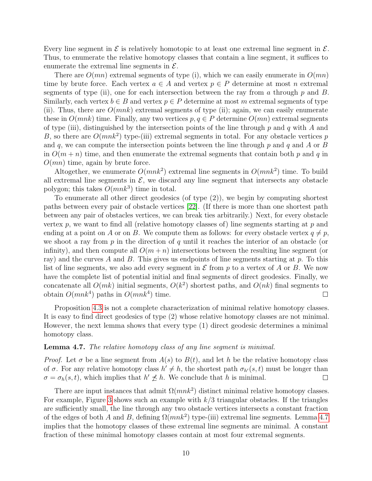Every line segment in  $\mathcal E$  is relatively homotopic to at least one extremal line segment in  $\mathcal E$ . Thus, to enumerate the relative homotopy classes that contain a line segment, it suffices to enumerate the extremal line segments in  $\mathcal{E}$ .

There are  $O(mn)$  extremal segments of type (i), which we can easily enumerate in  $O(mn)$ time by brute force. Each vertex  $a \in A$  and vertex  $p \in P$  determine at most n extremal segments of type (ii), one for each intersection between the ray from a through  $p$  and  $B$ . Similarly, each vertex  $b \in B$  and vertex  $p \in P$  determine at most m extremal segments of type (ii). Thus, there are  $O(mnk)$  extremal segments of type (ii); again, we can easily enumerate these in  $O(mnk)$  time. Finally, any two vertices  $p, q \in P$  determine  $O(mn)$  extremal segments of type (iii), distinguished by the intersection points of the line through p and q with A and B, so there are  $O(mnk^2)$  type-(iii) extremal segments in total. For any obstacle vertices p and q, we can compute the intersection points between the line through  $p$  and  $q$  and  $A$  or  $B$ in  $O(m + n)$  time, and then enumerate the extremal segments that contain both p and q in  $O(mn)$  time, again by brute force.

Altogether, we enumerate  $O(mnk^2)$  extremal line segments in  $O(mnk^2)$  time. To build all extremal line segments in  $\mathcal{E}$ , we discard any line segment that intersects any obstacle polygon; this takes  $O(mnk^3)$  time in total.

To enumerate all other direct geodesics (of type (2)), we begin by computing shortest paths between every pair of obstacle vertices [[22](#page-26-5)]. (If there is more than one shortest path between any pair of obstacles vertices, we can break ties arbitrarily.) Next, for every obstacle vertex p, we want to find all (relative homotopy classes of) line segments starting at  $p$  and ending at a point on A or on B. We compute them as follows: for every obstacle vertex  $q \neq p$ , we shoot a ray from p in the direction of q until it reaches the interior of an obstacle (or infinity), and then compute all  $O(m+n)$  intersections between the resulting line segment (or ray) and the curves A and B. This gives us endpoints of line segments starting at p. To this list of line segments, we also add every segment in  $\mathcal E$  from p to a vertex of A or B. We now have the complete list of potential initial and final segments of direct geodesics. Finally, we concatenate all  $O(mk)$  initial segments,  $O(k^2)$  shortest paths, and  $O(nk)$  final segments to obtain  $O(mnk^4)$  paths in  $O(mnk^4)$  time.  $\Box$ 

Proposition [4.3](#page-7-1) is not a complete characterization of minimal relative homotopy classes. It is easy to find direct geodesics of type (2) whose relative homotopy classes are not minimal. However, the next lemma shows that every type (1) direct geodesic determines a minimal homotopy class.

# <span id="page-9-0"></span>**Lemma 4.7.** The relative homotopy class of any line segment is minimal.

*Proof.* Let  $\sigma$  be a line segment from  $A(s)$  to  $B(t)$ , and let h be the relative homotopy class of  $\sigma$ . For any relative homotopy class  $h' \neq h$ , the shortest path  $\sigma_{h'}(s, t)$  must be longer than  $\sigma = \sigma_h(s, t)$ , which implies that  $h' \nleq h$ . We conclude that h is minimal.  $\Box$ 

There are input instances that admit  $\Omega(mnk^2)$  distinct minimal relative homotopy classes. For example, Figure [3](#page-10-1) shows such an example with  $k/3$  triangular obstacles. If the triangles are sufficiently small, the line through any two obstacle vertices intersects a constant fraction of the edges of both A and B, defining  $\Omega(mnk^2)$  type-(iii) extremal line segments. Lemma [4.7](#page-9-0) implies that the homotopy classes of these extremal line segments are minimal. A constant fraction of these minimal homotopy classes contain at most four extremal segments.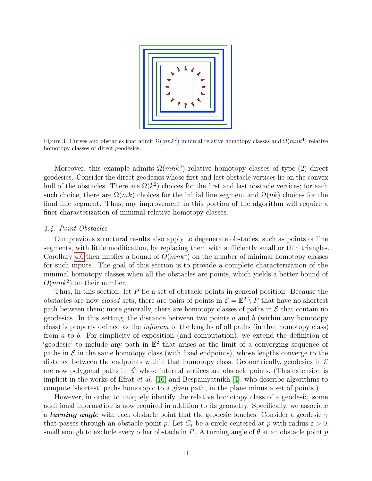

<span id="page-10-1"></span>Figure 3: Curves and obstacles that admit  $\Omega(mnk^2)$  minimal relative homotopy classes and  $\Omega(mnk^4)$  relative homotopy classes of direct geodesics.

Moreover, this example admits  $\Omega(mnk^4)$  relative homotopy classes of type-(2) direct geodesics. Consider the direct geodesics whose first and last obstacle vertices lie on the convex hull of the obstacles. There are  $\Omega(k^2)$  choices for the first and last obstacle vertices; for each such choice, there are  $\Omega(mk)$  choices for the initial line segment and  $\Omega(nk)$  choices for the final line segment. Thus, any improvement in this portion of the algorithm will require a finer characterization of minimal relative homotopy classes.

## <span id="page-10-0"></span>4.4. Point Obstacles

Our previous structural results also apply to degenerate obstacles, such as points or line segments, with little modification, by replacing them with sufficiently small or thin triangles. Corollary [4.6](#page-8-0) then implies a bound of  $O(mnk^4)$  on the number of minimal homotopy classes for such inputs. The goal of this section is to provide a complete characterization of the minimal homotopy classes when all the obstacles are points, which yields a better bound of  $O(mnk^2)$  on their number.

Thus, in this section, let P be a set of obstacle points in general position. Because the obstacles are now *closed* sets, there are pairs of points in  $\mathcal{E} = \mathbb{E}^2 \setminus P$  that have no shortest path between them; more generally, there are homotopy classes of paths in  $\mathcal E$  that contain no geodesics. In this setting, the distance between two points  $a$  and  $b$  (within any homotopy class) is properly defined as the infimum of the lengths of all paths (in that homotopy class) from a to b. For simplicity of exposition (and computation), we extend the definition of 'geodesic' to include any path in  $\mathbb{E}^2$  that arises as the limit of a converging sequence of paths in  $\mathcal E$  in the same homotopy class (with fixed endpoints), whose lengths converge to the distance between the endpoints within that homotopy class. Geometrically, geodesics in  $\mathcal E$ are now polygonal paths in  $\mathbb{E}^2$  whose internal vertices are obstacle points. (This extension is implicit in the works of Efrat et al. [[16](#page-25-7)] and Bespamyatnikh [[4](#page-24-3)], who describe algorithms to compute 'shortest' paths homotopic to a given path, in the plane minus a set of points.)

However, in order to uniquely identify the relative homotopy class of a geodesic, some additional information is now required in addition to its geometry. Specifically, we associate a **turning angle** with each obstacle point that the geodesic touches. Consider a geodesic  $\gamma$ that passes through an obstacle point p. Let  $C_{\varepsilon}$  be a circle centered at p with radius  $\varepsilon > 0$ , small enough to exclude every other obstacle in P. A turning angle of  $\theta$  at an obstacle point p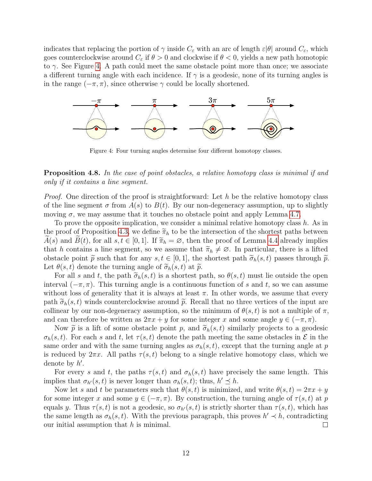indicates that replacing the portion of  $\gamma$  inside  $C_{\varepsilon}$  with an arc of length  $\varepsilon|\theta|$  around  $C_{\varepsilon}$ , which goes counterclockwise around  $C_{\varepsilon}$  if  $\theta > 0$  and clockwise if  $\theta < 0$ , yields a new path homotopic to  $\gamma$ . See Figure [4.](#page-11-0) A path could meet the same obstacle point more than once; we associate a different turning angle with each incidence. If  $\gamma$  is a geodesic, none of its turning angles is in the range  $(-\pi, \pi)$ , since otherwise  $\gamma$  could be locally shortened.



<span id="page-11-0"></span>Figure 4: Four turning angles determine four different homotopy classes.

# <span id="page-11-1"></span>**Proposition 4.8.** In the case of point obstacles, a relative homotopy class is minimal if and only if it contains a line segment.

*Proof.* One direction of the proof is straightforward: Let h be the relative homotopy class of the line segment  $\sigma$  from  $A(s)$  to  $B(t)$ . By our non-degeneracy assumption, up to slightly moving  $\sigma$ , we may assume that it touches no obstacle point and apply Lemma [4.7.](#page-9-0)

To prove the opposite implication, we consider a minimal relative homotopy class  $h$ . As in the proof of Proposition [4.3,](#page-7-1) we define  $\widetilde{\pi}_h$  to be the intersection of the shortest paths between  $A(s)$  and  $B(t)$ , for all  $s, t \in [0, 1]$ . If  $\widetilde{\pi}_h = \varnothing$ , then the proof of Lemma [4.4](#page-7-2) already implies that h contains a line segment, so we assume that  $\tilde{\pi}_h \neq \emptyset$ . In particular, there is a lifted obstacle point  $\tilde{p}$  such that for any  $s, t \in [0, 1]$ , the shortest path  $\tilde{\sigma}_h(s, t)$  passes through  $\tilde{p}$ . Let  $\theta(s,t)$  denote the turning angle of  $\widetilde{\sigma}_h(s,t)$  at  $\widetilde{p}$ .

For all s and t, the path  $\tilde{\sigma}_h(s, t)$  is a shortest path, so  $\theta(s, t)$  must lie outside the open interval  $(-\pi, \pi)$ . This turning angle is a continuous function of s and t, so we can assume without loss of generality that it is always at least  $\pi$ . In other words, we assume that every path  $\tilde{\sigma}_h(s, t)$  winds counterclockwise around  $\tilde{p}$ . Recall that no three vertices of the input are collinear by our non-degeneracy assumption, so the minimum of  $\theta(s,t)$  is not a multiple of  $\pi$ , and can therefore be written as  $2\pi x + y$  for some integer x and some angle  $y \in (-\pi, \pi)$ .

Now  $\tilde{p}$  is a lift of some obstacle point p, and  $\tilde{\sigma}_h(s,t)$  similarly projects to a geodesic  $\sigma_h(s,t)$ . For each s and t, let  $\tau(s,t)$  denote the path meeting the same obstacles in  $\mathcal E$  in the same order and with the same turning angles as  $\sigma_h(s, t)$ , except that the turning angle at p is reduced by  $2\pi x$ . All paths  $\tau(s,t)$  belong to a single relative homotopy class, which we denote by  $h'$ .

For every s and t, the paths  $\tau(s,t)$  and  $\sigma_h(s,t)$  have precisely the same length. This implies that  $\sigma_{h'}(s,t)$  is never longer than  $\sigma_h(s,t)$ ; thus,  $h' \leq h$ .

Now let s and t be parameters such that  $\theta(s,t)$  is minimized, and write  $\theta(s,t) = 2\pi x + y$ for some integer x and some  $y \in (-\pi, \pi)$ . By construction, the turning angle of  $\tau(s, t)$  at p equals y. Thus  $\tau(s, t)$  is not a geodesic, so  $\sigma_{h'}(s, t)$  is strictly shorter than  $\tau(s, t)$ , which has the same length as  $\sigma_h(s,t)$ . With the previous paragraph, this proves  $h' \prec h$ , contradicting our initial assumption that  $h$  is minimal.  $\Box$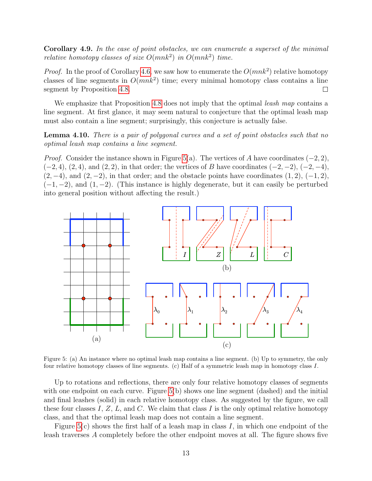Corollary 4.9. In the case of point obstacles, we can enumerate a superset of the minimal relative homotopy classes of size  $O(mnk^2)$  in  $O(mnk^2)$  time.

*Proof.* In the proof of Corollary [4.6,](#page-8-0) we saw how to enumerate the  $O(mnk^2)$  relative homotopy classes of line segments in  $O(mnk^2)$  time; every minimal homotopy class contains a line segment by Proposition [4.8.](#page-11-1)  $\Box$ 

We emphasize that Proposition [4.8](#page-11-1) does not imply that the optimal *leash map* contains a line segment. At first glance, it may seem natural to conjecture that the optimal leash map must also contain a line segment; surprisingly, this conjecture is actually false.

Lemma 4.10. There is a pair of polygonal curves and a set of point obstacles such that no optimal leash map contains a line segment.

*Proof.* Consider the instance shown in Figure [5\(](#page-12-0)a). The vertices of A have coordinates  $(-2, 2)$ ,  $(-2, 4)$ ,  $(2, 4)$ , and  $(2, 2)$ , in that order; the vertices of B have coordinates  $(-2, -2)$ ,  $(-2, -4)$ ,  $(2, -4)$ , and  $(2, -2)$ , in that order; and the obstacle points have coordinates  $(1, 2)$ ,  $(-1, 2)$ ,  $(-1, -2)$ , and  $(1, -2)$ . (This instance is highly degenerate, but it can easily be perturbed into general position without affecting the result.)



<span id="page-12-0"></span>Figure 5: (a) An instance where no optimal leash map contains a line segment. (b) Up to symmetry, the only four relative homotopy classes of line segments. (c) Half of a symmetric leash map in homotopy class I.

Up to rotations and reflections, there are only four relative homotopy classes of segments with one endpoint on each curve. Figure [5\(](#page-12-0)b) shows one line segment (dashed) and the initial and final leashes (solid) in each relative homotopy class. As suggested by the figure, we call these four classes I,  $Z$ ,  $L$ , and  $C$ . We claim that class I is the only optimal relative homotopy class, and that the optimal leash map does not contain a line segment.

Figure [5\(](#page-12-0)c) shows the first half of a leash map in class I, in which one endpoint of the leash traverses A completely before the other endpoint moves at all. The figure shows five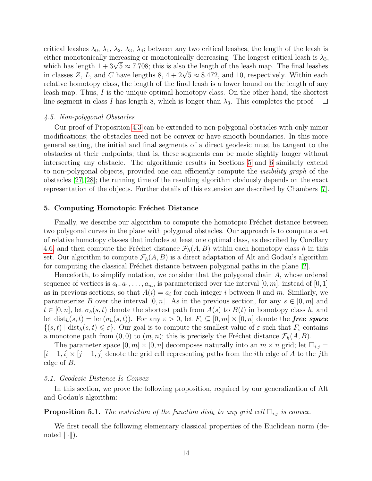critical leashes  $\lambda_0$ ,  $\lambda_1$ ,  $\lambda_2$ ,  $\lambda_3$ ,  $\lambda_4$ ; between any two critical leashes, the length of the leash is either monotonically increasing or monotonically decreasing. The longest critical leash is  $\lambda_3$ , either monotonically increasing or monotonically decreasing. The longest critical leash is  $\lambda_3$ ,<br>which has length  $1 + 3\sqrt{5} \approx 7.708$ ; this is also the length of the leash map. The final leashes which has length  $1 + 3\sqrt{5} \approx 7.708$ ; this is also the length of the leash map. The final leasnes<br>in classes Z, L, and C have lengths 8,  $4 + 2\sqrt{5} \approx 8.472$ , and 10, respectively. Within each relative homotopy class, the length of the final leash is a lower bound on the length of any leash map. Thus, I is the unique optimal homotopy class. On the other hand, the shortest line segment in class I has length 8, which is longer than  $\lambda_3$ . This completes the proof.  $\Box$ 

## 4.5. Non-polygonal Obstacles

Our proof of Proposition [4.3](#page-7-1) can be extended to non-polygonal obstacles with only minor modifications; the obstacles need not be convex or have smooth boundaries. In this more general setting, the initial and final segments of a direct geodesic must be tangent to the obstacles at their endpoints; that is, these segments can be made slightly longer without intersecting any obstacle. The algorithmic results in Sections [5](#page-13-0) and [6](#page-20-0) similarly extend to non-polygonal objects, provided one can efficiently compute the visibility graph of the obstacles [[27](#page-26-6), [28](#page-26-7)]; the running time of the resulting algorithm obviously depends on the exact representation of the objects. Further details of this extension are described by Chambers [[7](#page-25-9)].

#### <span id="page-13-0"></span>5. Computing Homotopic Fréchet Distance

Finally, we describe our algorithm to compute the homotopic Fréchet distance between two polygonal curves in the plane with polygonal obstacles. Our approach is to compute a set of relative homotopy classes that includes at least one optimal class, as described by Corollary [4.6,](#page-8-0) and then compute the Fréchet distance  $\mathcal{F}_h(A, B)$  within each homotopy class h in this set. Our algorithm to compute  $\mathcal{F}_h(A, B)$  is a direct adaptation of Alt and Godau's algorithm for computing the classical Fréchet distance between polygonal paths in the plane  $[2]$ .

Henceforth, to simplify notation, we consider that the polygonal chain A, whose ordered sequence of vertices is  $a_0, a_1, \ldots, a_m$ , is parameterized over the interval  $[0, m]$ , instead of  $[0, 1]$ as in previous sections, so that  $A(i) = a_i$  for each integer i between 0 and m. Similarly, we parameterize B over the interval  $[0, n]$ . As in the previous section, for any  $s \in [0, m]$  and  $t \in [0,n]$ , let  $\sigma_h(s,t)$  denote the shortest path from  $A(s)$  to  $B(t)$  in homotopy class h, and let dist<sub>h</sub> $(s, t) = \text{len}(\sigma_h(s, t))$ . For any  $\varepsilon > 0$ , let  $F_{\varepsilon} \subseteq [0, m] \times [0, n]$  denote the free space  $\{(s,t) \mid \text{dist}_h(s,t) \leq \varepsilon\}.$  Our goal is to compute the smallest value of  $\varepsilon$  such that  $F_{\varepsilon}$  contains a monotone path from  $(0, 0)$  to  $(m, n)$ ; this is precisely the Fréchet distance  $\mathcal{F}_h(A, B)$ .

The parameter space  $[0, m] \times [0, n]$  decomposes naturally into an  $m \times n$  grid; let  $\square_{i,j} =$  $[i-1, i] \times [j-1, j]$  denote the grid cell representing paths from the *i*th edge of A to the *j*th edge of B.

#### 5.1. Geodesic Distance Is Convex

In this section, we prove the following proposition, required by our generalization of Alt and Godau's algorithm:

<span id="page-13-2"></span>**Proposition 5.1.** The restriction of the function dist<sub>h</sub> to any grid cell  $\Box_{i,j}$  is convex.

<span id="page-13-1"></span>We first recall the following elementary classical properties of the Euclidean norm (denoted  $\|\cdot\|$ ).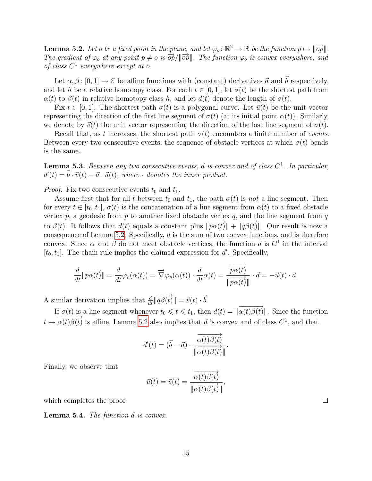**Lemma 5.2.** Let o be a fixed point in the plane, and let  $\varphi_o : \mathbb{R}^2 \to \mathbb{R}$  be the function  $p \mapsto ||\overrightarrow{op}||$ . The gradient of  $\varphi_o$  at any point  $p \neq o$  is  $\overrightarrow{op}/\|\overrightarrow{op}\|$ . The function  $\varphi_o$  is convex everywhere, and of class  $C^1$  everywhere except at o.

Let  $\alpha, \beta \colon [0, 1] \to \mathcal{E}$  be affine functions with (constant) derivatives  $\vec{a}$  and  $\vec{b}$  respectively, and let h be a relative homotopy class. For each  $t \in [0, 1]$ , let  $\sigma(t)$  be the shortest path from  $\alpha(t)$  to  $\beta(t)$  in relative homotopy class h, and let  $d(t)$  denote the length of  $\sigma(t)$ .

Fix  $t \in [0, 1]$ . The shortest path  $\sigma(t)$  is a polygonal curve. Let  $\vec{u}(t)$  be the unit vector representing the direction of the first line segment of  $\sigma(t)$  (at its initial point  $\alpha(t)$ ). Similarly, we denote by  $\vec{v}(t)$  the unit vector representing the direction of the last line segment of  $\sigma(t)$ .

Recall that, as t increases, the shortest path  $\sigma(t)$  encounters a finite number of *events*. Between every two consecutive events, the sequence of obstacle vertices at which  $\sigma(t)$  bends is the same.

<span id="page-14-0"></span>**Lemma 5.3.** Between any two consecutive events, d is convex and of class  $C^1$ . In particular,  $d'(t) = \vec{b} \cdot \vec{v}(t) - \vec{a} \cdot \vec{u}(t)$ , where  $\cdot$  denotes the inner product.

*Proof.* Fix two consecutive events  $t_0$  and  $t_1$ .

Assume first that for all t between  $t_0$  and  $t_1$ , the path  $\sigma(t)$  is not a line segment. Then for every  $t \in [t_0, t_1], \sigma(t)$  is the concatenation of a line segment from  $\alpha(t)$  to a fixed obstacle vertex  $p$ , a geodesic from  $p$  to another fixed obstacle vertex  $q$ , and the line segment from  $q$ to  $\beta(t)$ . It follows that  $d(t)$  equals a constant plus  $\|\overrightarrow{p\alpha(t)}\| + \|q\overrightarrow{\beta(t)}\|$ . Our result is now a consequence of Lemma [5.2.](#page-13-1) Specifically,  $d$  is the sum of two convex functions, and is therefore convex. Since  $\alpha$  and  $\beta$  do not meet obstacle vertices, the function d is  $C^1$  in the interval  $[t_0, t_1]$ . The chain rule implies the claimed expression for d'. Specifically,

$$
\frac{d}{dt} \|\overrightarrow{p\alpha(t)}\| = \frac{d}{dt} \varphi_p(\alpha(t)) = \overrightarrow{\nabla} \varphi_p(\alpha(t)) \cdot \frac{d}{dt} \alpha(t) = \frac{\overrightarrow{p\alpha(t)}}{\|\overrightarrow{p\alpha(t)}\|} \cdot \overrightarrow{a} = -\overrightarrow{u}(t) \cdot \overrightarrow{a}.
$$

A similar derivation implies that  $\frac{d}{dt} ||\overrightarrow{q\beta(t)}|| = \vec{v}(t) \cdot \vec{b}$ .

If  $\sigma(t)$  is a line segment whenever  $t_0 \leq t \leq t_1$ , then  $d(t) = ||\overrightarrow{\alpha(t)}\beta(t)||$ . Since the function  $t \mapsto \alpha(t)\beta(t)$  is affine, Lemma [5.2](#page-13-1) also implies that d is convex and of class  $C^1$ , and that

$$
d'(t) = (\vec{b} - \vec{a}) \cdot \frac{\overrightarrow{\alpha(t)\beta(t)}}{\|\overrightarrow{\alpha(t)\beta(t)}\|}.
$$

Finally, we observe that

$$
\vec{u}(t) = \vec{v}(t) = \frac{\overrightarrow{\alpha(t)\beta(t)}}{\|\overrightarrow{\alpha(t)\beta(t)}\|},
$$

which completes the proof.

<span id="page-14-1"></span>Lemma 5.4. The function d is convex.

 $\Box$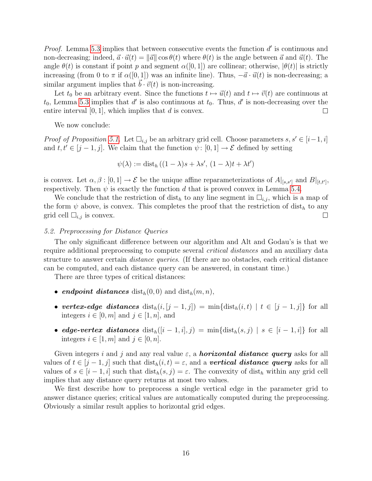*Proof.* Lemma [5.3](#page-14-0) implies that between consecutive events the function  $d'$  is continuous and non-decreasing; indeed,  $\vec{a} \cdot \vec{u}(t) = ||\vec{a}|| \cos \theta(t)$  where  $\theta(t)$  is the angle between  $\vec{a}$  and  $\vec{u}(t)$ . The angle  $\theta(t)$  is constant if point p and segment  $\alpha([0,1])$  are collinear; otherwise,  $|\theta(t)|$  is strictly increasing (from 0 to  $\pi$  if  $\alpha([0,1])$  was an infinite line). Thus,  $-\vec{a} \cdot \vec{u}(t)$  is non-decreasing; a similar argument implies that  $b \cdot \vec{v}(t)$  is non-increasing.

Let  $t_0$  be an arbitrary event. Since the functions  $t \mapsto \vec{u}(t)$  and  $t \mapsto \vec{v}(t)$  are continuous at  $t_0$ , Lemma [5.3](#page-14-0) implies that d' is also continuous at  $t_0$ . Thus, d' is non-decreasing over the entire interval  $[0, 1]$ , which implies that d is convex.  $\Box$ 

We now conclude:

*Proof of Proposition [5.1.](#page-13-2)* Let  $\square_{i,j}$  be an arbitrary grid cell. Choose parameters  $s, s' \in [i-1, i]$ and  $t, t' \in [j - 1, j]$ . We claim that the function  $\psi : [0, 1] \to \mathcal{E}$  defined by setting

$$
\psi(\lambda) := \text{dist}_h ((1 - \lambda)s + \lambda s', (1 - \lambda)t + \lambda t')
$$

is convex. Let  $\alpha, \beta : [0,1] \to \mathcal{E}$  be the unique affine reparameterizations of  $A|_{[s,s']}$  and  $B|_{[t,t']},$ respectively. Then  $\psi$  is exactly the function d that is proved convex in Lemma [5.4.](#page-14-1)

We conclude that the restriction of  $dist_h$  to any line segment in  $\Box_{i,j}$ , which is a map of the form  $\psi$  above, is convex. This completes the proof that the restriction of dist<sub>h</sub> to any grid cell  $\Box_{i,j}$  is convex.  $\Box$ 

## <span id="page-15-1"></span>5.2. Preprocessing for Distance Queries

The only significant difference between our algorithm and Alt and Godau's is that we require additional preprocessing to compute several critical distances and an auxiliary data structure to answer certain *distance queries*. (If there are no obstacles, each critical distance can be computed, and each distance query can be answered, in constant time.)

There are three types of critical distances:

- endpoint distances  $dist_h(0,0)$  and  $dist_h(m,n)$ ,
- vertex-edge distances  $dist_h(i, [j-1, j]) = min{dist_h(i, t) | t \in [j-1, j]}$  for all integers  $i \in [0, m]$  and  $j \in [1, n]$ , and
- edge-vertex distances  $dist_h([i-1,i],j) = min{dist_h(s,j) | s \in [i-1,i]}$  for all integers  $i \in [1, m]$  and  $j \in [0, n]$ .

Given integers i and j and any real value  $\varepsilon$ , a **horizontal distance query** asks for all values of  $t \in [j-1, j]$  such that  $dist_h(i, t) = \varepsilon$ , and a **vertical distance query** asks for all values of  $s \in [i-1, i]$  such that  $dist_h(s, j) = \varepsilon$ . The convexity of  $dist_h$  within any grid cell implies that any distance query returns at most two values.

<span id="page-15-0"></span>We first describe how to preprocess a single vertical edge in the parameter grid to answer distance queries; critical values are automatically computed during the preprocessing. Obviously a similar result applies to horizontal grid edges.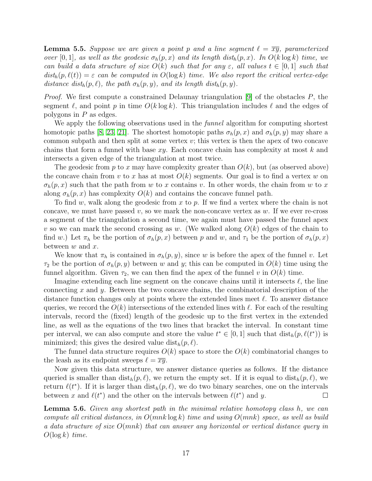**Lemma 5.5.** Suppose we are given a point p and a line segment  $\ell = \overline{xy}$ , parameterized over [0, 1], as well as the geodesic  $\sigma_h(p,x)$  and its length dist<sub>h</sub> $(p,x)$ . In  $O(k \log k)$  time, we can build a data structure of size  $O(k)$  such that for any  $\varepsilon$ , all values  $t \in [0,1]$  such that  $dist_h(p, \ell(t)) = \varepsilon$  can be computed in  $O(\log k)$  time. We also report the critical vertex-edge distance dist<sub>h</sub> $(p, \ell)$ , the path  $\sigma_h(p, y)$ , and its length dist<sub>h</sub> $(p, y)$ .

*Proof.* We first compute a constrained Delaunay triangulation [[9](#page-25-4)] of the obstacles  $P$ , the segment  $\ell$ , and point p in time  $O(k \log k)$ . This triangulation includes  $\ell$  and the edges of polygons in  $P$  as edges.

We apply the following observations used in the *funnel* algorithm for computing shortest homotopic paths [[8](#page-25-10), [23](#page-26-8), [21](#page-26-4)]. The shortest homotopic paths  $\sigma_h(p, x)$  and  $\sigma_h(p, y)$  may share a common subpath and then split at some vertex  $v$ ; this vertex is then the apex of two concave chains that form a funnel with base  $xy$ . Each concave chain has complexity at most k and intersects a given edge of the triangulation at most twice.

The geodesic from p to x may have complexity greater than  $O(k)$ , but (as observed above) the concave chain from v to x has at most  $O(k)$  segments. Our goal is to find a vertex w on  $\sigma_h(p,x)$  such that the path from w to x contains v. In other words, the chain from w to x along  $\sigma_h(p,x)$  has complexity  $O(k)$  and contains the concave funnel path.

To find w, walk along the geodesic from x to p. If we find a vertex where the chain is not concave, we must have passed v, so we mark the non-concave vertex as  $w$ . If we ever re-cross a segment of the triangulation a second time, we again must have passed the funnel apex v so we can mark the second crossing as w. (We walked along  $O(k)$  edges of the chain to find w.) Let  $\pi_h$  be the portion of  $\sigma_h(p,x)$  between p and w, and  $\tau_1$  be the portion of  $\sigma_h(p,x)$ between  $w$  and  $x$ .

We know that  $\pi_h$  is contained in  $\sigma_h(p, y)$ , since w is before the apex of the funnel v. Let  $\tau_2$  be the portion of  $\sigma_h(p, y)$  between w and y; this can be computed in  $O(k)$  time using the funnel algorithm. Given  $\tau_2$ , we can then find the apex of the funnel v in  $O(k)$  time.

Imagine extending each line segment on the concave chains until it intersects  $\ell$ , the line connecting  $x$  and  $y$ . Between the two concave chains, the combinatorial description of the distance function changes only at points where the extended lines meet  $\ell$ . To answer distance queries, we record the  $O(k)$  intersections of the extended lines with  $\ell$ . For each of the resulting intervals, record the (fixed) length of the geodesic up to the first vertex in the extended line, as well as the equations of the two lines that bracket the interval. In constant time per interval, we can also compute and store the value  $t^* \in [0,1]$  such that  $dist_h(p, \ell(t^*))$  is minimized; this gives the desired value  $dist_h(p, \ell)$ .

The funnel data structure requires  $O(k)$  space to store the  $O(k)$  combinatorial changes to the leash as its endpoint sweeps  $\ell = \overline{xy}$ .

Now given this data structure, we answer distance queries as follows. If the distance queried is smaller than  $dist_h(p, \ell)$ , we return the empty set. If it is equal to  $dist_h(p, \ell)$ , we return  $\ell(t^*)$ . If it is larger than  $dist_h(p, \ell)$ , we do two binary searches, one on the intervals between x and  $\ell(t^*)$  and the other on the intervals between  $\ell(t^*)$  and y.  $\Box$ 

<span id="page-16-0"></span>**Lemma 5.6.** Given any shortest path in the minimal relative homotopy class h, we can compute all critical distances, in  $O(mnk \log k)$  time and using  $O(mnk)$  space, as well as build a data structure of size O(mnk) that can answer any horizontal or vertical distance query in  $O(\log k)$  time.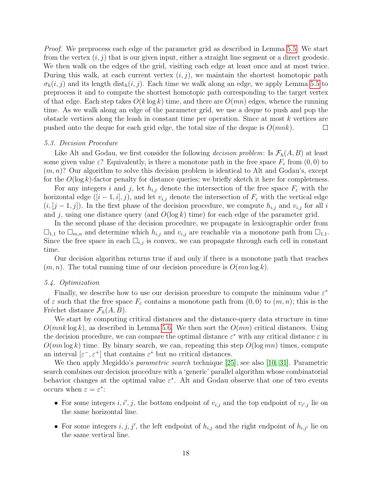Proof. We preprocess each edge of the parameter grid as described in Lemma [5.5.](#page-15-0) We start from the vertex  $(i, j)$  that is our given input, either a straight line segment or a direct geodesic. We then walk on the edges of the grid, visiting each edge at least once and at most twice. During this walk, at each current vertex  $(i, j)$ , we maintain the shortest homotopic path  $\sigma_h(i, j)$  and its length dist<sub>h</sub> $(i, j)$ . Each time we walk along an edge, we apply Lemma [5.5](#page-15-0) to preprocess it and to compute the shortest homotopic path corresponding to the target vertex of that edge. Each step takes  $O(k \log k)$  time, and there are  $O(mn)$  edges, whence the running time. As we walk along an edge of the parameter grid, we use a deque to push and pop the obstacle vertices along the leash in constant time per operation. Since at most  $k$  vertices are pushed onto the deque for each grid edge, the total size of the deque is  $O(mnk)$ .  $\Box$ 

#### <span id="page-17-0"></span>5.3. Decision Procedure

Like Alt and Godau, we first consider the following *decision problem*: Is  $\mathcal{F}_h(A, B)$  at least some given value  $\varepsilon$ ? Equivalently, is there a monotone path in the free space  $F_{\varepsilon}$  from  $(0,0)$  to  $(m, n)$ ? Our algorithm to solve this decision problem is identical to Alt and Godau's, except for the  $O(\log k)$ -factor penalty for distance queries; we briefly sketch it here for completeness.

For any integers i and j, let  $h_{i,j}$  denote the intersection of the free space  $F_{\varepsilon}$  with the horizontal edge  $([i - 1, i], j)$ , and let  $v_{i,j}$  denote the intersection of  $F_{\varepsilon}$  with the vertical edge  $(i, (j-1, j])$ . In the first phase of the decision procedure, we compute  $h_{i,j}$  and  $v_{i,j}$  for all i and j, using one distance query (and  $O(\log k)$  time) for each edge of the parameter grid.

In the second phase of the decision procedure, we propagate in lexicographic order from  $\Box_{1,1}$  to  $\Box_{m,n}$  and determine which  $h_{i,j}$  and  $v_{i,j}$  are reachable via a monotone path from  $\Box_{1,1}$ . Since the free space in each  $\Box_{i,j}$  is convex, we can propagate through each cell in constant time.

Our decision algorithm returns true if and only if there is a monotone path that reaches  $(m, n)$ . The total running time of our decision procedure is  $O(mn \log k)$ .

# 5.4. Optimization

Finally, we describe how to use our decision procedure to compute the minimum value  $\varepsilon^*$ of  $\varepsilon$  such that the free space  $F_{\varepsilon}$  contains a monotone path from  $(0,0)$  to  $(m, n)$ ; this is the Fréchet distance  $\mathcal{F}_h(A, B)$ .

We start by computing critical distances and the distance-query data structure in time  $O(mnk \log k)$ , as described in Lemma [5.6.](#page-16-0) We then sort the  $O(mn)$  critical distances. Using the decision procedure, we can compare the optimal distance  $\varepsilon^*$  with any critical distance  $\varepsilon$  in  $O(mn \log k)$  time. By binary search, we can, repeating this step  $O(\log mn)$  times, compute an interval  $[\varepsilon^-, \varepsilon^+]$  that contains  $\varepsilon^*$  but no critical distances.

We then apply Megiddo's *parametric search* technique [[25](#page-26-9)]; see also [[10](#page-25-11), [31](#page-26-10)]. Parametric search combines our decision procedure with a 'generic' parallel algorithm whose combinatorial behavior changes at the optimal value  $\varepsilon^*$ . Alt and Godau observe that one of two events occurs when  $\varepsilon = \varepsilon^*$ :

- For some integers  $i, i', j$ , the bottom endpoint of  $v_{i,j}$  and the top endpoint of  $v_{i',j}$  lie on the same horizontal line.
- For some integers  $i, j, j'$ , the left endpoint of  $h_{i,j}$  and the right endpoint of  $h_{i,j'}$  lie on the same vertical line.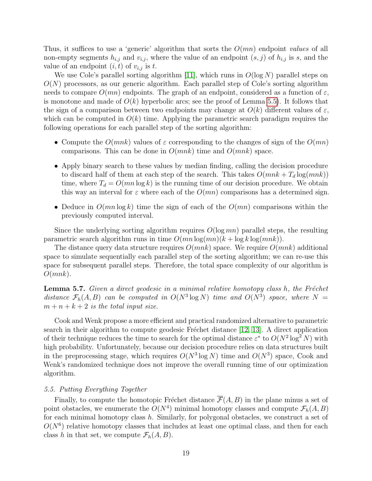Thus, it suffices to use a 'generic' algorithm that sorts the  $O(mn)$  endpoint values of all non-empty segments  $h_{i,j}$  and  $v_{i,j}$ , where the value of an endpoint  $(s, j)$  of  $h_{i,j}$  is s, and the value of an endpoint  $(i, t)$  of  $v_{i,j}$  is t.

We use Cole's parallel sorting algorithm [[11](#page-25-12)], which runs in  $O(\log N)$  parallel steps on  $O(N)$  processors, as our generic algorithm. Each parallel step of Cole's sorting algorithm needs to compare  $O(mn)$  endpoints. The graph of an endpoint, considered as a function of  $\varepsilon$ , is monotone and made of  $O(k)$  hyperbolic arcs; see the proof of Lemma [5.5\)](#page-15-0). It follows that the sign of a comparison between two endpoints may change at  $O(k)$  different values of  $\varepsilon$ , which can be computed in  $O(k)$  time. Applying the parametric search paradigm requires the following operations for each parallel step of the sorting algorithm:

- Compute the  $O(mnk)$  values of  $\varepsilon$  corresponding to the changes of sign of the  $O(mn)$ comparisons. This can be done in  $O(mnk)$  time and  $O(mnk)$  space.
- Apply binary search to these values by median finding, calling the decision procedure to discard half of them at each step of the search. This takes  $O(mnk + T_d \log(mnk))$ time, where  $T_d = O(mn \log k)$  is the running time of our decision procedure. We obtain this way an interval for  $\varepsilon$  where each of the  $O(mn)$  comparisons has a determined sign.
- Deduce in  $O(mn \log k)$  time the sign of each of the  $O(mn)$  comparisons within the previously computed interval.

Since the underlying sorting algorithm requires  $O(\log mn)$  parallel steps, the resulting parametric search algorithm runs in time  $O(mn \log(mn)(k + \log k \log(mnk)).$ 

The distance query data structure requires  $O(mnk)$  space. We require  $O(mnk)$  additional space to simulate sequentially each parallel step of the sorting algorithm; we can re-use this space for subsequent parallel steps. Therefore, the total space complexity of our algorithm is  $O(mnk)$ .

**Lemma 5.7.** Given a direct geodesic in a minimal relative homotopy class h, the Fréchet distance  $\mathcal{F}_h(A, B)$  can be computed in  $O(N^3 \log N)$  time and  $O(N^3)$  space, where  $N =$  $m + n + k + 2$  is the total input size.

Cook and Wenk propose a more efficient and practical randomized alternative to parametric search in their algorithm to compute geodesic Fréchet distance  $[12, 13]$  $[12, 13]$  $[12, 13]$  $[12, 13]$  $[12, 13]$ . A direct application of their technique reduces the time to search for the optimal distance  $\varepsilon^*$  to  $O(N^2 \log^2 N)$  with high probability. Unfortunately, because our decision procedure relies on data structures built in the preprocessing stage, which requires  $O(N^3 \log N)$  time and  $O(N^3)$  space, Cook and Wenk's randomized technique does not improve the overall running time of our optimization algorithm.

#### <span id="page-18-0"></span>5.5. Putting Everything Together

Finally, to compute the homotopic Fréchet distance  $\overline{\mathcal{F}}(A, B)$  in the plane minus a set of point obstacles, we enumerate the  $O(N^4)$  minimal homotopy classes and compute  $\mathcal{F}_h(A, B)$ for each minimal homotopy class  $h$ . Similarly, for polygonal obstacles, we construct a set of  $O(N^6)$  relative homotopy classes that includes at least one optimal class, and then for each class h in that set, we compute  $\mathcal{F}_h(A, B)$ .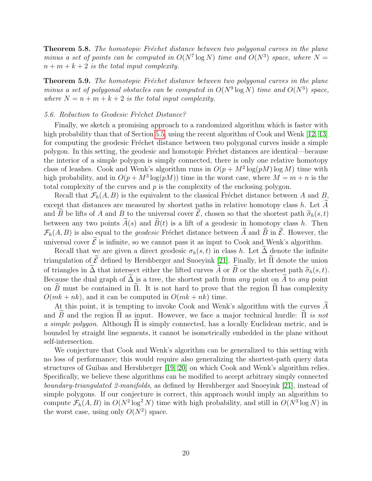**Theorem 5.8.** The homotopic Fréchet distance between two polygonal curves in the plane minus a set of points can be computed in  $O(N^7 \log N)$  time and  $O(N^3)$  space, where  $N =$  $n + m + k + 2$  is the total input complexity.

**Theorem 5.9.** The homotopic Fréchet distance between two polygonal curves in the plane minus a set of polygonal obstacles can be computed in  $O(N^9 \log N)$  time and  $O(N^3)$  space, where  $N = n + m + k + 2$  is the total input complexity.

# <span id="page-19-0"></span>5.6. Reduction to Geodesic Fréchet Distance?

Finally, we sketch a promising approach to a randomized algorithm which is faster with high probability than that of Section [5.5,](#page-18-0) using the recent algorithm of Cook and Wenk [[12](#page-25-1), [13](#page-25-2)] for computing the geodesic Fréchet distance between two polygonal curves inside a simple polygon. In this setting, the geodesic and homotopic Fréchet distances are identical—because the interior of a simple polygon is simply connected, there is only one relative homotopy class of leashes. Cook and Wenk's algorithm runs in  $O(p + M^2 \log(pM) \log M)$  time with high probability, and in  $O(p + M^3 \log(pM))$  time in the worst case, where  $M = m + n$  is the total complexity of the curves and  $p$  is the complexity of the enclosing polygon.

Recall that  $\mathcal{F}_h(A, B)$  is the equivalent to the classical Fréchet distance between A and B, except that distances are measured by shortest paths in relative homotopy class  $h$ . Let  $\tilde{A}$ and  $\widetilde{B}$  be lifts of A and B to the universal cover  $\widetilde{\mathcal{E}}$ , chosen so that the shortest path  $\widetilde{\sigma}_h(s, t)$ between any two points  $\widetilde{A}(s)$  and  $\widetilde{B}(t)$  is a lift of a geodesic in homotopy class h. Then  $\mathcal{F}_h(A, B)$  is also equal to the *geodesic* Fréchet distance between  $\widetilde{A}$  and  $\widetilde{B}$  in  $\widetilde{\mathcal{E}}$ . However, the universal cover  $\tilde{\mathcal{E}}$  is infinite, so we cannot pass it as input to Cook and Wenk's algorithm.

Recall that we are given a direct geodesic  $\sigma_h(s,t)$  in class h. Let  $\tilde{\Delta}$  denote the infinite triangulation of  $\tilde{\mathcal{E}}$  defined by Hershberger and Snoeyink [[21](#page-26-4)]. Finally, let  $\tilde{\Pi}$  denote the union of triangles in  $\tilde{\Delta}$  that intersect either the lifted curves  $\tilde{A}$  or  $\tilde{B}$  or the shortest path  $\tilde{\sigma}_h(s, t)$ . Because the dual graph of  $\tilde{\Delta}$  is a tree, the shortest path from any point on  $\tilde{A}$  to any point on B must be contained in  $\Pi$ . It is not hard to prove that the region  $\Pi$  has complexity  $O(mk + nk)$ , and it can be computed in  $O(mk + nk)$  time.

At this point, it is tempting to invoke Cook and Wenk's algorithm with the curves  $\widetilde{A}$ and  $\tilde{B}$  and the region  $\tilde{\Pi}$  as input. However, we face a major technical hurdle:  $\tilde{\Pi}$  is not a simple polygon. Although  $\Pi$  is simply connected, has a locally Euclidean metric, and is bounded by straight line segments, it cannot be isometrically embedded in the plane without self-intersection.

We conjecture that Cook and Wenk's algorithm can be generalized to this setting with no loss of performance; this would require also generalizing the shortest-path query data structures of Guibas and Hershberger [[19](#page-25-13), [20](#page-25-14)] on which Cook and Wenk's algorithm relies. Specifically, we believe these algorithms can be modified to accept arbitrary simply connected boundary-triangulated 2-manifolds, as defined by Hershberger and Snoeyink [[21](#page-26-4)], instead of simple polygons. If our conjecture is correct, this approach would imply an algorithm to compute  $\mathcal{F}_h(A, B)$  in  $O(N^2 \log^2 N)$  time with high probability, and still in  $O(N^3 \log N)$  in the worst case, using only  $O(N^2)$  space.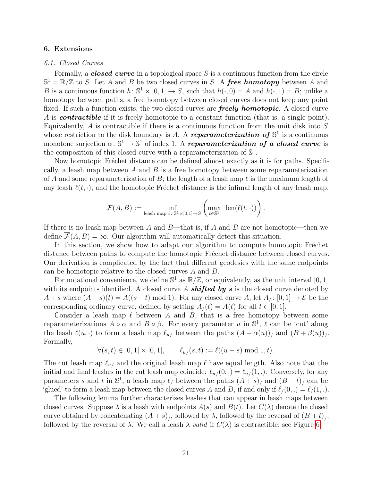## <span id="page-20-0"></span>6. Extensions

## 6.1. Closed Curves

Formally, a *closed curve* in a topological space S is a continuous function from the circle  $\mathbb{S}^1 = \mathbb{R}/\mathbb{Z}$  to S. Let A and B be two closed curves in S. A **free homotopy** between A and B is a continuous function  $h: \mathbb{S}^1 \times [0,1] \to S$ , such that  $h(\cdot, 0) = A$  and  $h(\cdot, 1) = B$ ; unlike a homotopy between paths, a free homotopy between closed curves does not keep any point fixed. If such a function exists, the two closed curves are **freely homotopic**. A closed curve A is **contractible** if it is freely homotopic to a constant function (that is, a single point). Equivalently,  $A$  is contractible if there is a continuous function from the unit disk into  $S$ whose restriction to the disk boundary is A. A reparameterization of  $\mathbb{S}^1$  is a continuous monotone surjection  $\alpha \colon \mathbb{S}^1 \to \mathbb{S}^1$  of index 1. A reparameterization of a closed curve is the composition of this closed curve with a reparameterization of  $\mathbb{S}^1$ .

Now homotopic Fréchet distance can be defined almost exactly as it is for paths. Specifically, a leash map between  $A$  and  $B$  is a free homotopy between some reparameterization of A and some reparameterization of B; the length of a leash map  $\ell$  is the maximum length of any leash  $\ell(t, \cdot)$ ; and the homotopic Fréchet distance is the infimal length of any leash map:

$$
\overline{\mathcal{F}}(A, B) := \inf_{\text{least map } \ell \colon \mathbb{S}^1 \times [0,1] \to S} \left( \max_{t \in \mathbb{S}^1} \text{ len}(\ell(t, \cdot)) \right).
$$

If there is no leash map between A and  $B$ —that is, if A and B are not homotopic—then we define  $\overline{\mathcal{F}}(A, B) = \infty$ . Our algorithm will automatically detect this situation.

In this section, we show how to adapt our algorithm to compute homotopic Fréchet distance between paths to compute the homotopic Fréchet distance between closed curves. Our derivation is complicated by the fact that different geodesics with the same endpoints can be homotopic relative to the closed curves A and B.

For notational convenience, we define  $\mathbb{S}^1$  as  $\mathbb{R}/\mathbb{Z}$ , or equivalently, as the unit interval [0, 1] with its endpoints identified. A closed curve A **shifted by s** is the closed curve denoted by  $A + s$  where  $(A + s)(t) = A((s + t) \mod 1)$ . For any closed curve A, let  $A_i: [0, 1] \rightarrow \mathcal{E}$  be the corresponding ordinary curve, defined by setting  $A_{/}(t) = A(t)$  for all  $t \in [0,1]$ .

Consider a leash map  $\ell$  between A and B, that is a free homotopy between some reparameterizations  $A \circ \alpha$  and  $B \circ \beta$ . For every parameter u in  $\mathbb{S}^1$ ,  $\ell$  can be 'cut' along the leash  $\ell(u, \cdot)$  to form a leash map  $\ell_{u/}$  between the paths  $(A + \alpha(u))$ <sub>/</sub> and  $(B + \beta(u))$ <sub>/</sub>. Formally,

$$
\forall (s,t) \in [0,1] \times [0,1], \qquad \ell_{u}(s,t) := \ell((u+s) \bmod 1, t).
$$

The cut leash map  $\ell_{u/}$  and the original leash map  $\ell$  have equal length. Also note that the initial and final leashes in the cut leash map coincide:  $\ell_{u}/(0,.) = \ell_{u}/(1,.)$ . Conversely, for any parameters s and t in  $\mathbb{S}^1$ , a leash map  $\ell$  between the paths  $(A + s)$  and  $(B + t)$  can be 'glued' to form a leash map between the closed curves A and B, if and only if  $\ell/(0, .) = \ell/(1, .)$ .

The following lemma further characterizes leashes that can appear in leash maps between closed curves. Suppose  $\lambda$  is a leash with endpoints  $A(s)$  and  $B(t)$ . Let  $C(\lambda)$  denote the closed curve obtained by concatenating  $(A + s)_{/}$ , followed by  $\lambda$ , followed by the reversal of  $(B + t)_{/}$ , followed by the reversal of  $\lambda$ . We call a leash  $\lambda$  valid if  $C(\lambda)$  is contractible; see Figure [6.](#page-21-0)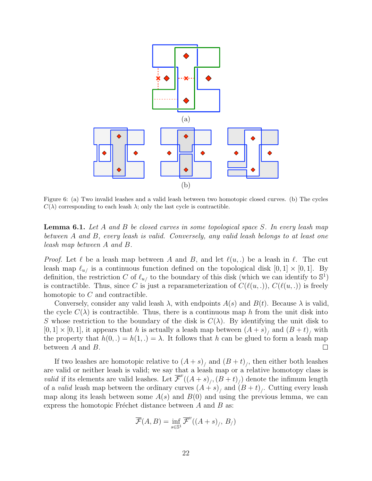

<span id="page-21-0"></span>Figure 6: (a) Two invalid leashes and a valid leash between two homotopic closed curves. (b) The cycles  $C(\lambda)$  corresponding to each leash  $\lambda$ ; only the last cycle is contractible.

**Lemma 6.1.** Let A and B be closed curves in some topological space S. In every leash map between A and B, every leash is valid. Conversely, any valid leash belongs to at least one leash map between A and B.

*Proof.* Let  $\ell$  be a leash map between A and B, and let  $\ell(u, .)$  be a leash in  $\ell$ . The cut leash map  $\ell_{u/}$  is a continuous function defined on the topological disk  $[0, 1] \times [0, 1]$ . By definition, the restriction C of  $\ell_{u/}$  to the boundary of this disk (which we can identify to  $\mathbb{S}^1$ ) is contractible. Thus, since C is just a reparameterization of  $C(\ell(u, .))$ ,  $C(\ell(u, .))$  is freely homotopic to C and contractible.

Conversely, consider any valid leash  $\lambda$ , with endpoints  $A(s)$  and  $B(t)$ . Because  $\lambda$  is valid, the cycle  $C(\lambda)$  is contractible. Thus, there is a continuous map h from the unit disk into S whose restriction to the boundary of the disk is  $C(\lambda)$ . By identifying the unit disk to  $[0,1] \times [0,1]$ , it appears that h is actually a leash map between  $(A + s)$  and  $(B + t)$  with the property that  $h(0,.) = h(1,.) = \lambda$ . It follows that h can be glued to form a leash map between A and B.  $\Box$ 

If two leashes are homotopic relative to  $(A + s)$ <sub>/</sub> and  $(B + t)$ <sub>/</sub>, then either both leashes are valid or neither leash is valid; we say that a leash map or a relative homotopy class is *valid* if its elements are valid leashes. Let  $\overline{\mathcal{F}}^{v}((A+s)_{/}, (B+t)_{/})$  denote the infimum length of a *valid* leash map between the ordinary curves  $(A + s)$ <sub>/</sub> and  $(B + t)$ <sub>/</sub>. Cutting every leash map along its leash between some  $A(s)$  and  $B(0)$  and using the previous lemma, we can express the homotopic Fréchet distance between  $A$  and  $B$  as:

$$
\overline{\mathcal{F}}(A,B) = \inf_{s \in \mathbb{S}^1} \overline{\mathcal{F}}^v((A+s)_f, B_f)
$$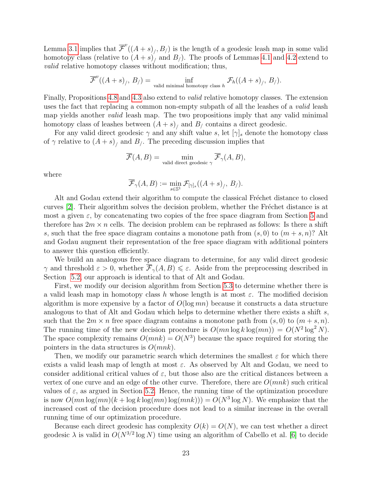Lemma [3.1](#page-5-0) implies that  $\overline{\mathcal{F}}^{v}((A+s)_j, B_j)$  is the length of a geodesic leash map in some valid homotopy class (relative to  $(A + s)$ ) and  $B$ ). The proofs of Lemmas [4.1](#page-6-1) and [4.2](#page-6-2) extend to valid relative homotopy classes without modification; thus,

$$
\overline{\mathcal{F}}^{v}((A+s)_{/}, B_{/}) = \inf_{\text{valid minimal homotopy class } h} \mathcal{F}_{h}((A+s)_{/}, B_{/}).
$$

Finally, Propositions [4.8](#page-11-1) and [4.3](#page-7-1) also extend to valid relative homotopy classes. The extension uses the fact that replacing a common non-empty subpath of all the leashes of a *valid* leash map yields another *valid* leash map. The two propositions imply that any valid minimal homotopy class of leashes between  $(A + s)$ <sub>/</sub> and  $B$ <sub>/</sub> contains a direct geodesic.

For any valid direct geodesic  $\gamma$  and any shift value s, let  $[\gamma]_s$  denote the homotopy class of  $\gamma$  relative to  $(A + s)$ , and  $B<sub>j</sub>$ . The preceding discussion implies that

$$
\overline{\mathcal{F}}(A,B) = \min_{\text{valid direct geodesic } \gamma} \overline{\mathcal{F}}_{\gamma}(A,B),
$$

where

$$
\overline{\mathcal{F}}_{\gamma}(A,B) := \min_{s \in \mathbb{S}^1} \mathcal{F}_{[\gamma]_s}((A+s)_{/}, B_{/}).
$$

Alt and Godau extend their algorithm to compute the classical Fréchet distance to closed curves  $[2]$  $[2]$  $[2]$ . Their algorithm solves the decision problem, whether the Fréchet distance is at most a given  $\varepsilon$ , by concatenating two copies of the free space diagram from Section [5](#page-13-0) and therefore has  $2m \times n$  cells. The decision problem can be rephrased as follows: Is there a shift s, such that the free space diagram contains a monotone path from  $(s, 0)$  to  $(m + s, n)$ ? Alt and Godau augment their representation of the free space diagram with additional pointers to answer this question efficiently.

We build an analogous free space diagram to determine, for any valid direct geodesic  $\gamma$  and threshold  $\varepsilon > 0$ , whether  $\overline{\mathcal{F}}_{\gamma}(A, B) \leq \varepsilon$ . Aside from the preprocessing described in Section [5.2,](#page-15-1) our approach is identical to that of Alt and Godau.

First, we modify our decision algorithm from Section [5.3](#page-17-0) to determine whether there is a valid leash map in homotopy class h whose length is at most  $\varepsilon$ . The modified decision algorithm is more expensive by a factor of  $O(\log mn)$  because it constructs a data structure analogous to that of Alt and Godau which helps to determine whether there exists a shift s, such that the  $2m \times n$  free space diagram contains a monotone path from  $(s, 0)$  to  $(m + s, n)$ . The running time of the new decision procedure is  $O(mn \log k \log(mn)) = O(N^2 \log^2 N)$ . The space complexity remains  $O(mnk) = O(N^3)$  because the space required for storing the pointers in the data structures is  $O(mnk)$ .

Then, we modify our parametric search which determines the smallest  $\varepsilon$  for which there exists a valid leash map of length at most  $\varepsilon$ . As observed by Alt and Godau, we need to consider additional critical values of  $\varepsilon$ , but those also are the critical distances between a vertex of one curve and an edge of the other curve. Therefore, there are  $O(mnk)$  such critical values of  $\varepsilon$ , as argued in Section [5.2.](#page-15-1) Hence, the running time of the optimization procedure is now  $O(mn \log(mn)(k + \log k \log(mn) \log(mnk))) = O(N^3 \log N)$ . We emphasize that the increased cost of the decision procedure does not lead to a similar increase in the overall running time of our optimization procedure.

Because each direct geodesic has complexity  $O(k) = O(N)$ , we can test whether a direct geodesic  $\lambda$  is valid in  $O(N^{3/2} \log N)$  time using an algorithm of Cabello et al. [[6](#page-25-6)] to decide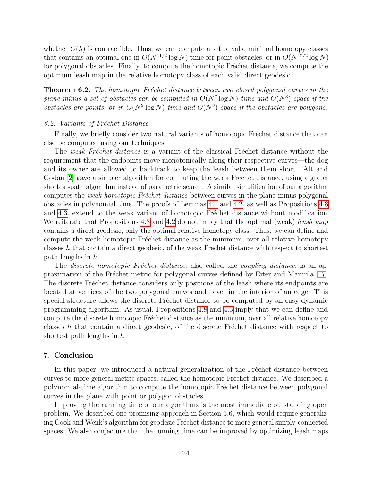whether  $C(\lambda)$  is contractible. Thus, we can compute a set of valid minimal homotopy classes that contains an optimal one in  $O(N^{11/2} \log N)$  time for point obstacles, or in  $O(N^{15/2} \log N)$ for polygonal obstacles. Finally, to compute the homotopic Fréchet distance, we compute the optimum leash map in the relative homotopy class of each valid direct geodesic.

**Theorem 6.2.** The homotopic Fréchet distance between two closed polygonal curves in the plane minus a set of obstacles can be computed in  $O(N^7 \log N)$  time and  $O(N^3)$  space if the obstacles are points, or in  $O(N^9 \log N)$  time and  $O(N^3)$  space if the obstacles are polygons.

## 6.2. Variants of Fréchet Distance

Finally, we briefly consider two natural variants of homotopic Fréchet distance that can also be computed using our techniques.

The weak Fréchet distance is a variant of the classical Fréchet distance without the requirement that the endpoints move monotonically along their respective curves—the dog and its owner are allowed to backtrack to keep the leash between them short. Alt and Godau  $\lbrack 2\rbrack$  $\lbrack 2\rbrack$  $\lbrack 2\rbrack$  gave a simpler algorithm for computing the weak Fréchet distance, using a graph shortest-path algorithm instead of parametric search. A similar simplification of our algorithm computes the *weak homotopic Fréchet distance* between curves in the plane minus polygonal obstacles in polynomial time. The proofs of Lemmas [4.1](#page-6-1) and [4.2,](#page-6-2) as well as Propositions [4.8](#page-11-1) and [4.3,](#page-7-1) extend to the weak variant of homotopic Fréchet distance without modification. We reiterate that Propositions [4.8](#page-11-1) and [4.2](#page-6-2) do not imply that the optimal (weak) leash map contains a direct geodesic, only the optimal relative homotopy class. Thus, we can define and compute the weak homotopic Fréchet distance as the minimum, over all relative homotopy classes h that contain a direct geodesic, of the weak Fréchet distance with respect to shortest path lengths in h.

The *discrete homotopic Fréchet distance*, also called the *coupling distance*, is an ap-proximation of the Fréchet metric for polygonal curves defined by Eiter and Mannila [[17](#page-25-15)]. The discrete Fréchet distance considers only positions of the leash where its endpoints are located at vertices of the two polygonal curves and never in the interior of an edge. This special structure allows the discrete Fréchet distance to be computed by an easy dynamic programming algorithm. As usual, Propositions [4.8](#page-11-1) and [4.3](#page-7-1) imply that we can define and compute the discrete homotopic Fréchet distance as the minimum, over all relative homotopy classes  $h$  that contain a direct geodesic, of the discrete Fréchet distance with respect to shortest path lengths in h.

### 7. Conclusion

In this paper, we introduced a natural generalization of the Fréchet distance between curves to more general metric spaces, called the homotopic Fréchet distance. We described a polynomial-time algorithm to compute the homotopic Fréchet distance between polygonal curves in the plane with point or polygon obstacles.

Improving the running time of our algorithms is the most immediate outstanding open problem. We described one promising approach in Section [5.6,](#page-19-0) which would require generalizing Cook and Wenk's algorithm for geodesic Fréchet distance to more general simply-connected spaces. We also conjecture that the running time can be improved by optimizing leash maps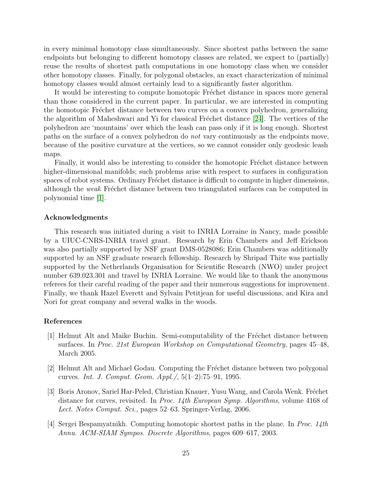in every minimal homotopy class simultaneously. Since shortest paths between the same endpoints but belonging to different homotopy classes are related, we expect to (partially) reuse the results of shortest path computations in one homotopy class when we consider other homotopy classes. Finally, for polygonal obstacles, an exact characterization of minimal homotopy classes would almost certainly lead to a significantly faster algorithm.

It would be interesting to compute homotopic Fréchet distance in spaces more general than those considered in the current paper. In particular, we are interested in computing the homotopic Fréchet distance between two curves on a convex polyhedron, generalizing the algorithm of Maheshwari and Yi for classical Fréchet distance  $[24]$  $[24]$  $[24]$ . The vertices of the polyhedron are 'mountains' over which the leash can pass only if it is long enough. Shortest paths on the surface of a convex polyhedron do not vary continuously as the endpoints move, because of the positive curvature at the vertices, so we cannot consider only geodesic leash maps.

Finally, it would also be interesting to consider the homotopic Fréchet distance between higher-dimensional manifolds; such problems arise with respect to surfaces in configuration spaces of robot systems. Ordinary Fréchet distance is difficult to compute in higher dimensions, although the *weak* Fréchet distance between two triangulated surfaces can be computed in polynomial time [\[1\]](#page-24-1).

## Acknowledgments

This research was initiated during a visit to INRIA Lorraine in Nancy, made possible by a UIUC-CNRS-INRIA travel grant. Research by Erin Chambers and Jeff Erickson was also partially supported by NSF grant DMS-0528086; Erin Chambers was additionally supported by an NSF graduate research fellowship. Research by Shripad Thite was partially supported by the Netherlands Organisation for Scientific Research (NWO) under project number 639.023.301 and travel by INRIA Lorraine. We would like to thank the anonymous referees for their careful reading of the paper and their numerous suggestions for improvement. Finally, we thank Hazel Everett and Sylvain Petitjean for useful discussions, and Kira and Nori for great company and several walks in the woods.

#### References

- <span id="page-24-1"></span> $|1|$  Helmut Alt and Maike Buchin. Semi-computability of the Fréchet distance between surfaces. In Proc. 21st European Workshop on Computational Geometry, pages 45–48, March 2005.
- <span id="page-24-0"></span>[2] Helmut Alt and Michael Godau. Computing the Fréchet distance between two polygonal curves. Int. J. Comput. Geom. Appl./, 5(1–2):75–91, 1995.
- <span id="page-24-2"></span>[3] Boris Aronov, Sariel Har-Peled, Christian Knauer, Yusu Wang, and Carola Wenk. Fréchet distance for curves, revisited. In Proc. 14th European Symp. Algorithms, volume 4168 of Lect. Notes Comput. Sci., pages 52–63. Springer-Verlag, 2006.
- <span id="page-24-3"></span>[4] Sergei Bespamyatnikh. Computing homotopic shortest paths in the plane. In Proc. 14th Annu. ACM-SIAM Sympos. Discrete Algorithms, pages 609–617, 2003.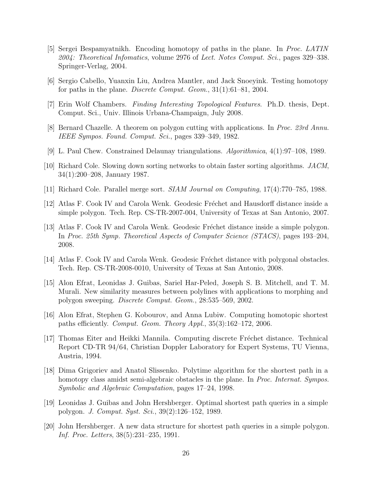- <span id="page-25-8"></span>[5] Sergei Bespamyatnikh. Encoding homotopy of paths in the plane. In Proc. LATIN 2004: Theoretical Infomatics, volume 2976 of Lect. Notes Comput. Sci., pages 329–338. Springer-Verlag, 2004.
- <span id="page-25-6"></span>[6] Sergio Cabello, Yuanxin Liu, Andrea Mantler, and Jack Snoeyink. Testing homotopy for paths in the plane. *Discrete Comput. Geom.*,  $31(1):61-81$ , 2004.
- <span id="page-25-9"></span>[7] Erin Wolf Chambers. Finding Interesting Topological Features. Ph.D. thesis, Dept. Comput. Sci., Univ. Illinois Urbana-Champaign, July 2008.
- <span id="page-25-10"></span>[8] Bernard Chazelle. A theorem on polygon cutting with applications. In Proc. 23rd Annu. IEEE Sympos. Found. Comput. Sci., pages 339–349, 1982.
- <span id="page-25-4"></span>[9] L. Paul Chew. Constrained Delaunay triangulations. Algorithmica, 4(1):97–108, 1989.
- <span id="page-25-11"></span>[10] Richard Cole. Slowing down sorting networks to obtain faster sorting algorithms. JACM, 34(1):200–208, January 1987.
- <span id="page-25-12"></span>[11] Richard Cole. Parallel merge sort. SIAM Journal on Computing, 17(4):770–785, 1988.
- <span id="page-25-1"></span>[12] Atlas F. Cook IV and Carola Wenk. Geodesic Fréchet and Hausdorff distance inside a simple polygon. Tech. Rep. CS-TR-2007-004, University of Texas at San Antonio, 2007.
- <span id="page-25-2"></span>[13] Atlas F. Cook IV and Carola Wenk. Geodesic Fréchet distance inside a simple polygon. In Proc. 25th Symp. Theoretical Aspects of Computer Science (STACS), pages 193–204, 2008.
- <span id="page-25-3"></span>[14] Atlas F. Cook IV and Carola Wenk. Geodesic Fréchet distance with polygonal obstacles. Tech. Rep. CS-TR-2008-0010, University of Texas at San Antonio, 2008.
- <span id="page-25-0"></span>[15] Alon Efrat, Leonidas J. Guibas, Sariel Har-Peled, Joseph S. B. Mitchell, and T. M. Murali. New similarity measures between polylines with applications to morphing and polygon sweeping. Discrete Comput. Geom., 28:535–569, 2002.
- <span id="page-25-7"></span>[16] Alon Efrat, Stephen G. Kobourov, and Anna Lubiw. Computing homotopic shortest paths efficiently. Comput. Geom. Theory Appl., 35(3):162–172, 2006.
- <span id="page-25-15"></span>[17] Thomas Eiter and Heikki Mannila. Computing discrete Fréchet distance. Technical Report CD-TR 94/64, Christian Doppler Laboratory for Expert Systems, TU Vienna, Austria, 1994.
- <span id="page-25-5"></span>[18] Dima Grigoriev and Anatol Slissenko. Polytime algorithm for the shortest path in a homotopy class amidst semi-algebraic obstacles in the plane. In *Proc. Internat. Sympos.* Symbolic and Algebraic Computation, pages 17–24, 1998.
- <span id="page-25-13"></span>[19] Leonidas J. Guibas and John Hershberger. Optimal shortest path queries in a simple polygon. J. Comput. Syst. Sci., 39(2):126–152, 1989.
- <span id="page-25-14"></span>[20] John Hershberger. A new data structure for shortest path queries in a simple polygon. Inf. Proc. Letters, 38(5):231–235, 1991.